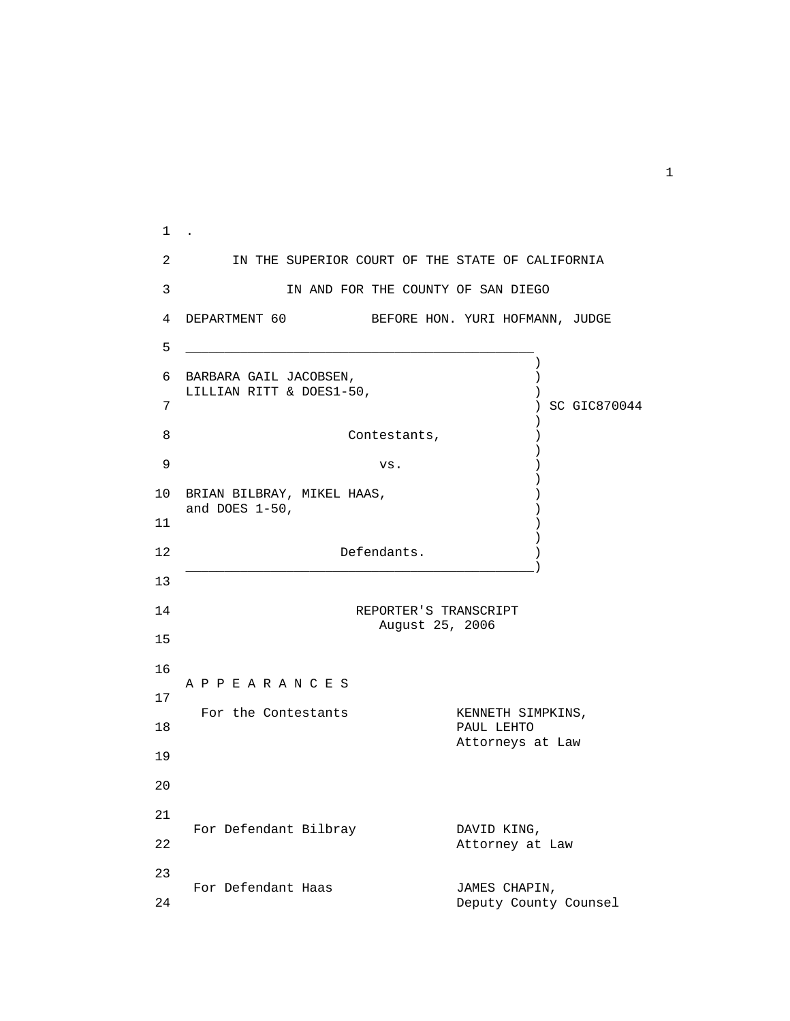1 . 2 IN THE SUPERIOR COURT OF THE STATE OF CALIFORNIA 3 **IN AND FOR THE COUNTY OF SAN DIEGO**  4 DEPARTMENT 60 BEFORE HON. YURI HOFMANN, JUDGE 5 \_\_\_\_\_\_\_\_\_\_\_\_\_\_\_\_\_\_\_\_\_\_\_\_\_\_\_\_\_\_\_\_\_\_\_\_\_\_\_\_\_\_\_\_\_ ) and the contract of  $\mathcal{L}$  6 BARBARA GAIL JACOBSEN, ) LILLIAN RITT & DOES1-50,  $\left( \begin{array}{ccc} 0 & 0 & 0 \\ 0 & 0 & 0 \\ 0 & 0 & 0 \\ 0 & 0 & 0 \end{array} \right)$  7 ) SC GIC870044  $)$ 8 Contestants,  $\qquad \qquad$ ) and the contract of  $\mathcal{L}$  $9$  vs.  $)$  $)$  10 BRIAN BILBRAY, MIKEL HAAS, ) and DOES 1-50, (and  $\sqrt{2}$ )  $11$  )  $)$ 12 Defendants.  $\overline{\phantom{a}}$  , and the contract of the contract of the contract of the contract of the contract of the contract of the contract of the contract of the contract of the contract of the contract of the contract of the contrac 13 14 REPORTER'S TRANSCRIPT August 25, 2006 15 16 A P P E A R A N C E S 17 For the Contestants **KENNETH SIMPKINS**, 18 PAUL LEHTO Attorneys at Law 19 20 21 For Defendant Bilbray **DAVID KING,**<br>22 Attorney at Attorney at Law 23 For Defendant Haas  $\begin{array}{ccc} 24 & \text{Deputv} & \text{JAMES CHAPIN,} \end{array}$ Deputy County Counsel

1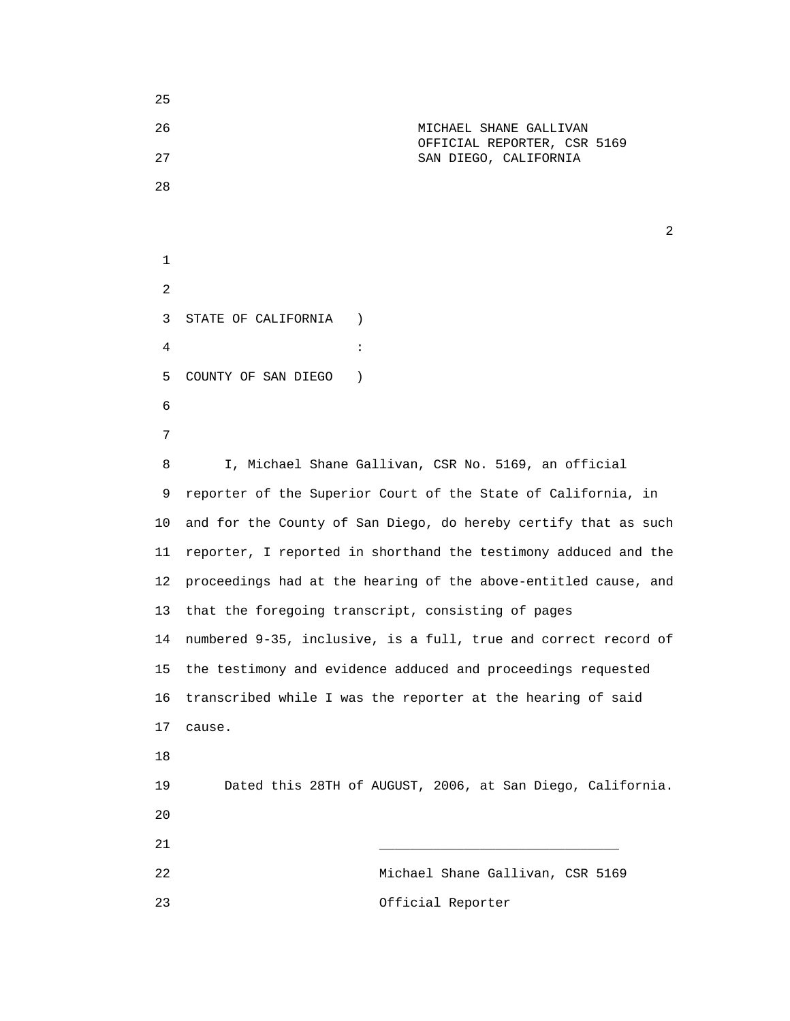25 26 MICHAEL SHANE GALLIVAN OFFICIAL REPORTER, CSR 5169 27 SAN DIEGO, CALIFORNIA 28  $\overline{2}$  1 2 3 STATE OF CALIFORNIA )  $4$  : 5 COUNTY OF SAN DIEGO ) 6 7 8 I, Michael Shane Gallivan, CSR No. 5169, an official 9 reporter of the Superior Court of the State of California, in 10 and for the County of San Diego, do hereby certify that as such 11 reporter, I reported in shorthand the testimony adduced and the 12 proceedings had at the hearing of the above-entitled cause, and 13 that the foregoing transcript, consisting of pages 14 numbered 9-35, inclusive, is a full, true and correct record of 15 the testimony and evidence adduced and proceedings requested 16 transcribed while I was the reporter at the hearing of said 17 cause. 18 19 Dated this 28TH of AUGUST, 2006, at San Diego, California. 20 21 \_\_\_\_\_\_\_\_\_\_\_\_\_\_\_\_\_\_\_\_\_\_\_\_\_\_\_\_\_\_\_ 22 Michael Shane Gallivan, CSR 5169 23 Official Reporter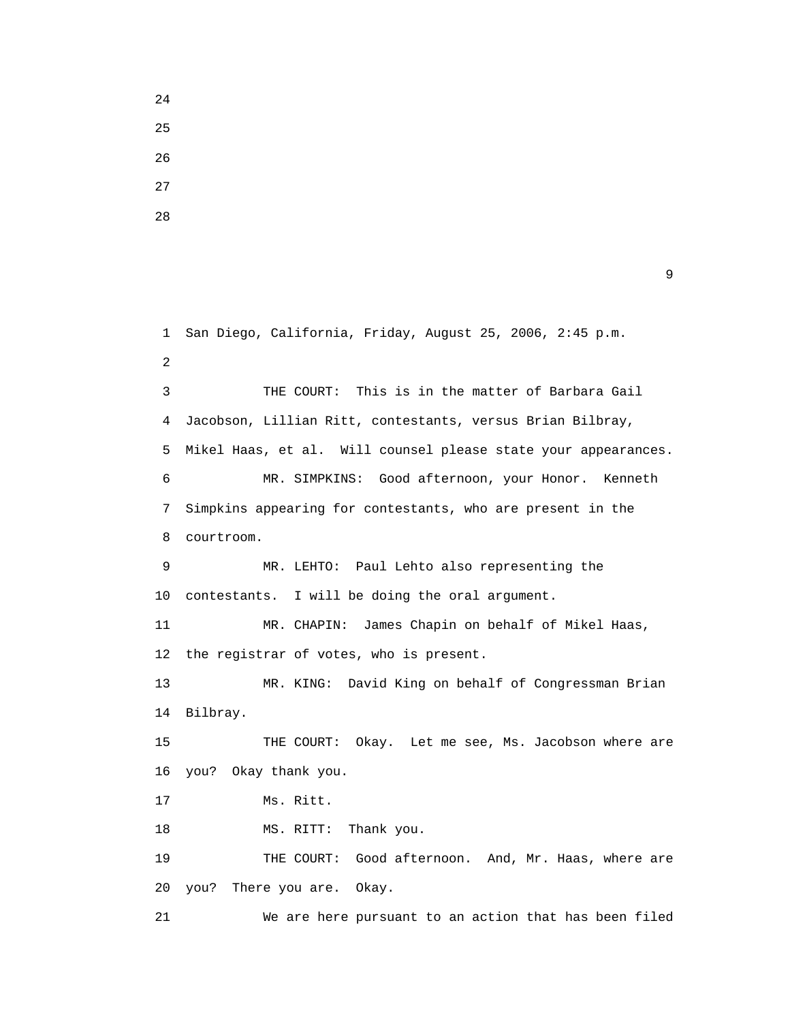25 26 27

24

28

```
 1 San Diego, California, Friday, August 25, 2006, 2:45 p.m.
2
       3 THE COURT: This is in the matter of Barbara Gail
       4 Jacobson, Lillian Ritt, contestants, versus Brian Bilbray,
       5 Mikel Haas, et al. Will counsel please state your appearances.
       6 MR. SIMPKINS: Good afternoon, your Honor. Kenneth
       7 Simpkins appearing for contestants, who are present in the
       8 courtroom.
       9 MR. LEHTO: Paul Lehto also representing the
      10 contestants. I will be doing the oral argument.
      11 MR. CHAPIN: James Chapin on behalf of Mikel Haas,
      12 the registrar of votes, who is present.
      13 MR. KING: David King on behalf of Congressman Brian
      14 Bilbray.
      15 THE COURT: Okay. Let me see, Ms. Jacobson where are
      16 you? Okay thank you.
      17 Ms. Ritt.
     18 MS. RITT: Thank you.
      19 THE COURT: Good afternoon. And, Mr. Haas, where are
      20 you? There you are. Okay.
      21 We are here pursuant to an action that has been filed
```
 $\sim$  9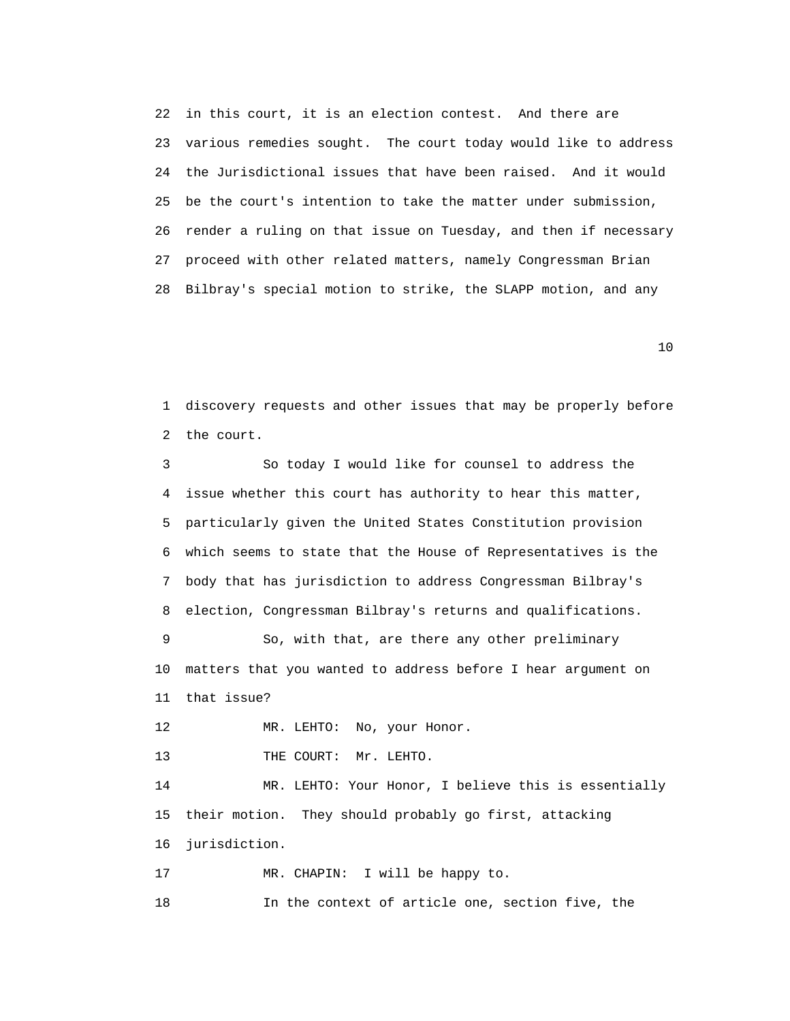22 in this court, it is an election contest. And there are 23 various remedies sought. The court today would like to address 24 the Jurisdictional issues that have been raised. And it would 25 be the court's intention to take the matter under submission, 26 render a ruling on that issue on Tuesday, and then if necessary 27 proceed with other related matters, namely Congressman Brian 28 Bilbray's special motion to strike, the SLAPP motion, and any

10

 1 discovery requests and other issues that may be properly before 2 the court.

 3 So today I would like for counsel to address the 4 issue whether this court has authority to hear this matter, 5 particularly given the United States Constitution provision 6 which seems to state that the House of Representatives is the 7 body that has jurisdiction to address Congressman Bilbray's 8 election, Congressman Bilbray's returns and qualifications. 9 So, with that, are there any other preliminary 10 matters that you wanted to address before I hear argument on 11 that issue?

12 MR. LEHTO: No, your Honor.

13 THE COURT: Mr. LEHTO.

 14 MR. LEHTO: Your Honor, I believe this is essentially 15 their motion. They should probably go first, attacking 16 jurisdiction.

17 MR. CHAPIN: I will be happy to.

18 In the context of article one, section five, the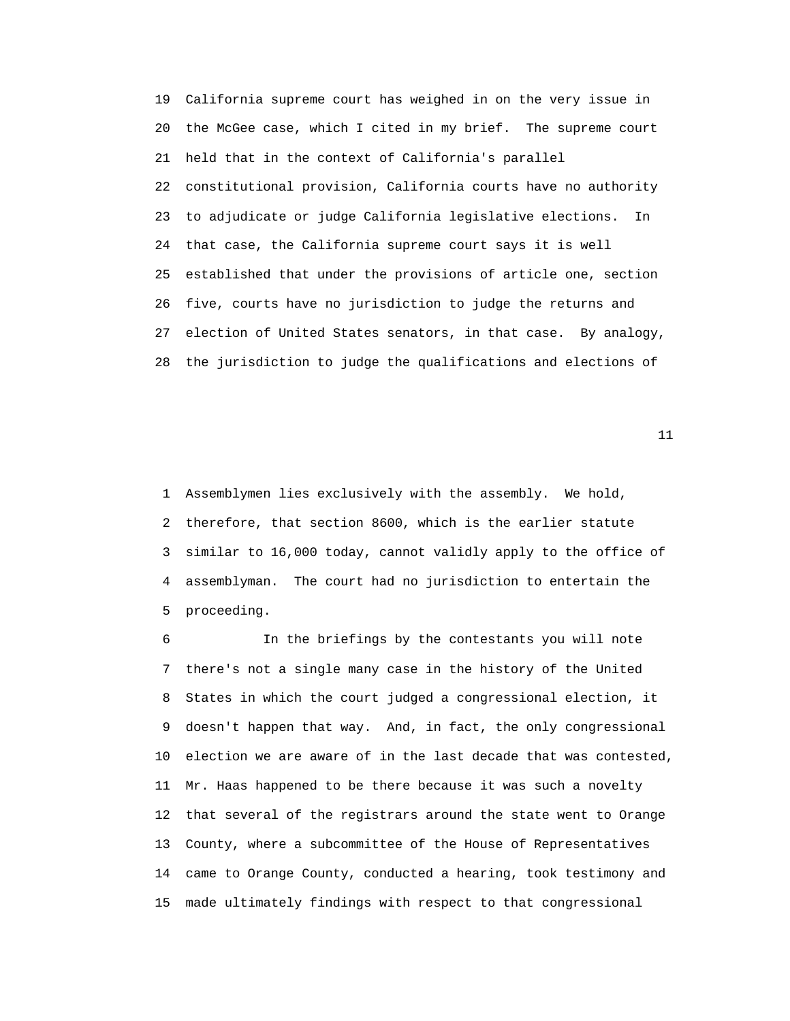19 California supreme court has weighed in on the very issue in 20 the McGee case, which I cited in my brief. The supreme court 21 held that in the context of California's parallel 22 constitutional provision, California courts have no authority 23 to adjudicate or judge California legislative elections. In 24 that case, the California supreme court says it is well 25 established that under the provisions of article one, section 26 five, courts have no jurisdiction to judge the returns and 27 election of United States senators, in that case. By analogy, 28 the jurisdiction to judge the qualifications and elections of

11

 1 Assemblymen lies exclusively with the assembly. We hold, 2 therefore, that section 8600, which is the earlier statute 3 similar to 16,000 today, cannot validly apply to the office of 4 assemblyman. The court had no jurisdiction to entertain the 5 proceeding.

 6 In the briefings by the contestants you will note 7 there's not a single many case in the history of the United 8 States in which the court judged a congressional election, it 9 doesn't happen that way. And, in fact, the only congressional 10 election we are aware of in the last decade that was contested, 11 Mr. Haas happened to be there because it was such a novelty 12 that several of the registrars around the state went to Orange 13 County, where a subcommittee of the House of Representatives 14 came to Orange County, conducted a hearing, took testimony and 15 made ultimately findings with respect to that congressional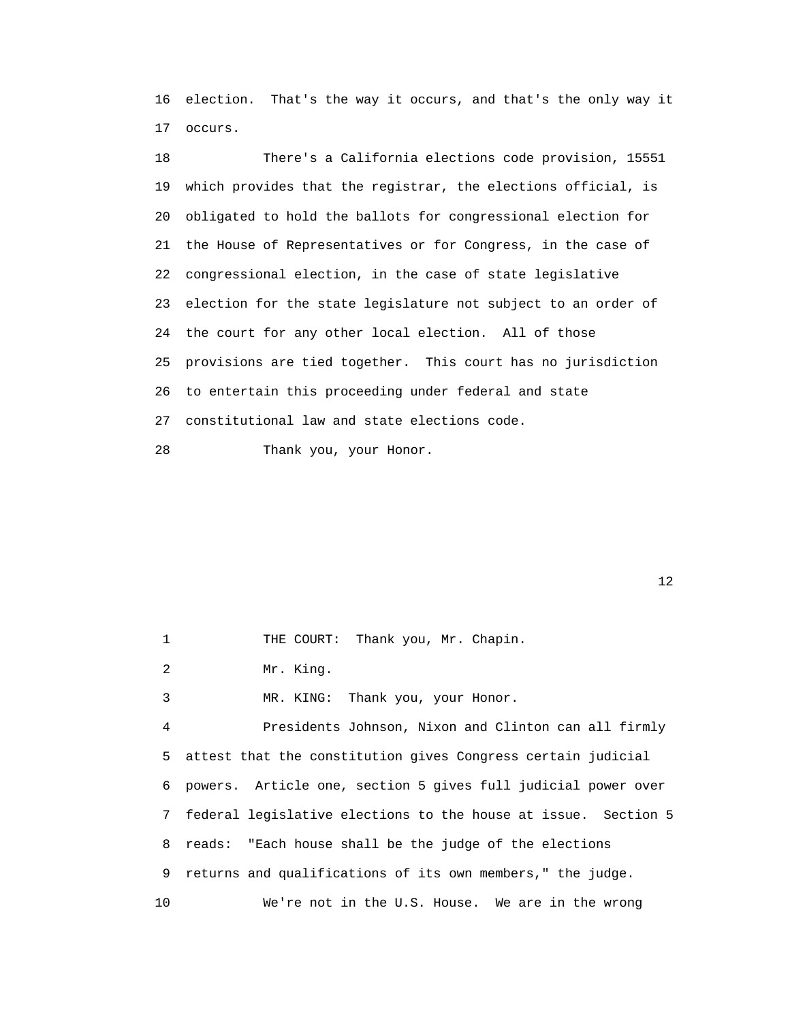16 election. That's the way it occurs, and that's the only way it 17 occurs.

 18 There's a California elections code provision, 15551 19 which provides that the registrar, the elections official, is 20 obligated to hold the ballots for congressional election for 21 the House of Representatives or for Congress, in the case of 22 congressional election, in the case of state legislative 23 election for the state legislature not subject to an order of 24 the court for any other local election. All of those 25 provisions are tied together. This court has no jurisdiction 26 to entertain this proceeding under federal and state 27 constitutional law and state elections code.

28 Thank you, your Honor.

 $12$ 

| $\mathbf{1}$ | THE COURT: Thank you, Mr. Chapin.                                |
|--------------|------------------------------------------------------------------|
| 2            | Mr. King.                                                        |
| 3            | MR. KING: Thank you, your Honor.                                 |
| 4            | Presidents Johnson, Nixon and Clinton can all firmly             |
|              | 5 attest that the constitution gives Congress certain judicial   |
|              | 6 powers. Article one, section 5 gives full judicial power over  |
|              | 7 federal legislative elections to the house at issue. Section 5 |
|              | 8 reads: "Each house shall be the judge of the elections         |
| 9            | returns and qualifications of its own members," the judge.       |
| 10           | We're not in the U.S. House. We are in the wrong                 |
|              |                                                                  |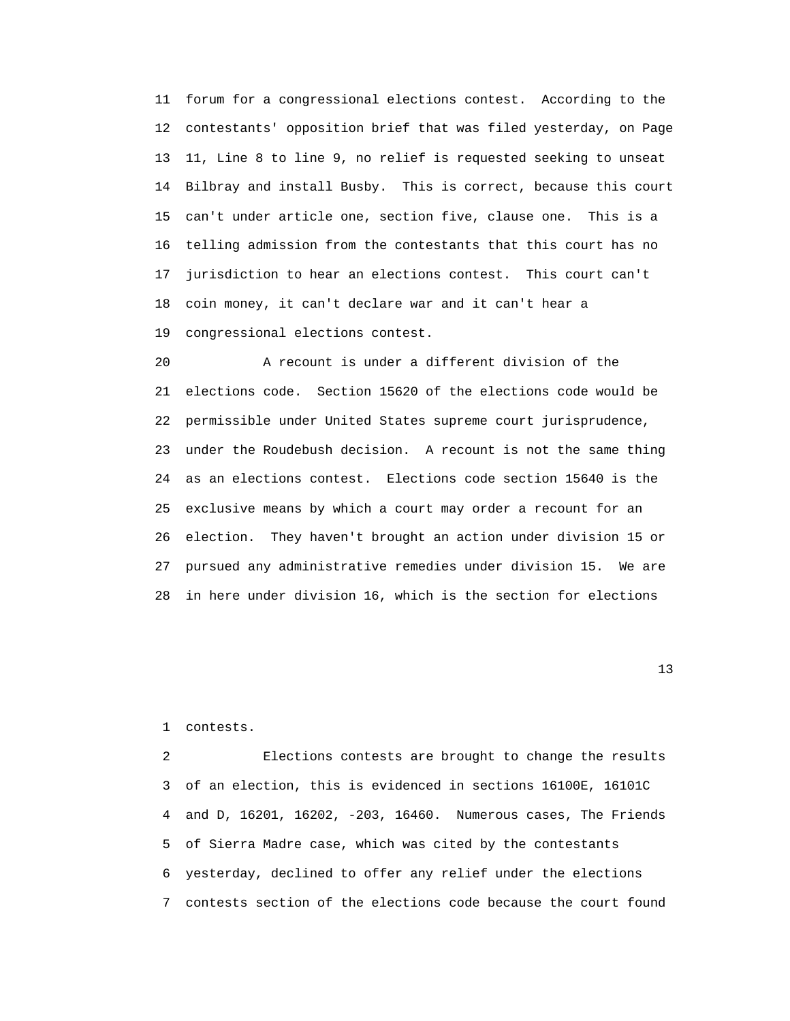11 forum for a congressional elections contest. According to the 12 contestants' opposition brief that was filed yesterday, on Page 13 11, Line 8 to line 9, no relief is requested seeking to unseat 14 Bilbray and install Busby. This is correct, because this court 15 can't under article one, section five, clause one. This is a 16 telling admission from the contestants that this court has no 17 jurisdiction to hear an elections contest. This court can't 18 coin money, it can't declare war and it can't hear a 19 congressional elections contest.

 20 A recount is under a different division of the 21 elections code. Section 15620 of the elections code would be 22 permissible under United States supreme court jurisprudence, 23 under the Roudebush decision. A recount is not the same thing 24 as an elections contest. Elections code section 15640 is the 25 exclusive means by which a court may order a recount for an 26 election. They haven't brought an action under division 15 or 27 pursued any administrative remedies under division 15. We are 28 in here under division 16, which is the section for elections

13

1 contests.

 2 Elections contests are brought to change the results 3 of an election, this is evidenced in sections 16100E, 16101C 4 and D, 16201, 16202, -203, 16460. Numerous cases, The Friends 5 of Sierra Madre case, which was cited by the contestants 6 yesterday, declined to offer any relief under the elections 7 contests section of the elections code because the court found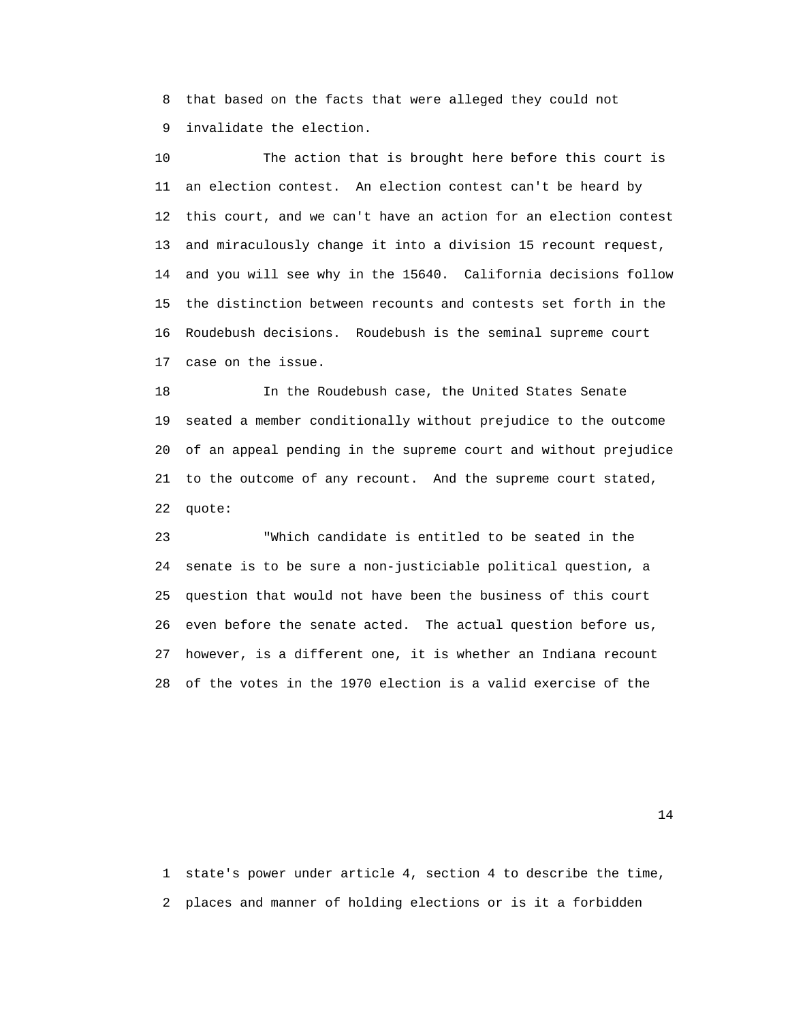8 that based on the facts that were alleged they could not 9 invalidate the election.

 10 The action that is brought here before this court is 11 an election contest. An election contest can't be heard by 12 this court, and we can't have an action for an election contest 13 and miraculously change it into a division 15 recount request, 14 and you will see why in the 15640. California decisions follow 15 the distinction between recounts and contests set forth in the 16 Roudebush decisions. Roudebush is the seminal supreme court 17 case on the issue.

 18 In the Roudebush case, the United States Senate 19 seated a member conditionally without prejudice to the outcome 20 of an appeal pending in the supreme court and without prejudice 21 to the outcome of any recount. And the supreme court stated, 22 quote:

 23 "Which candidate is entitled to be seated in the 24 senate is to be sure a non-justiciable political question, a 25 question that would not have been the business of this court 26 even before the senate acted. The actual question before us, 27 however, is a different one, it is whether an Indiana recount 28 of the votes in the 1970 election is a valid exercise of the

14

 1 state's power under article 4, section 4 to describe the time, 2 places and manner of holding elections or is it a forbidden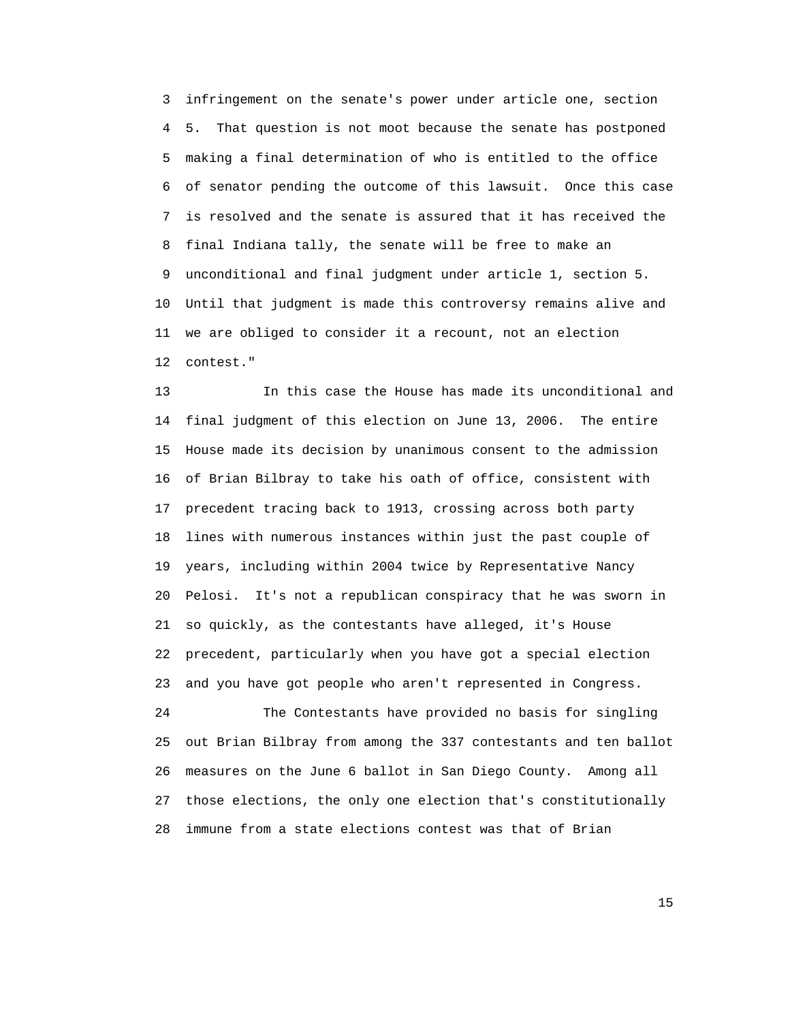3 infringement on the senate's power under article one, section 4 5. That question is not moot because the senate has postponed 5 making a final determination of who is entitled to the office 6 of senator pending the outcome of this lawsuit. Once this case 7 is resolved and the senate is assured that it has received the 8 final Indiana tally, the senate will be free to make an 9 unconditional and final judgment under article 1, section 5. 10 Until that judgment is made this controversy remains alive and 11 we are obliged to consider it a recount, not an election 12 contest."

 13 In this case the House has made its unconditional and 14 final judgment of this election on June 13, 2006. The entire 15 House made its decision by unanimous consent to the admission 16 of Brian Bilbray to take his oath of office, consistent with 17 precedent tracing back to 1913, crossing across both party 18 lines with numerous instances within just the past couple of 19 years, including within 2004 twice by Representative Nancy 20 Pelosi. It's not a republican conspiracy that he was sworn in 21 so quickly, as the contestants have alleged, it's House 22 precedent, particularly when you have got a special election 23 and you have got people who aren't represented in Congress.

 24 The Contestants have provided no basis for singling 25 out Brian Bilbray from among the 337 contestants and ten ballot 26 measures on the June 6 ballot in San Diego County. Among all 27 those elections, the only one election that's constitutionally 28 immune from a state elections contest was that of Brian

15 and 15 and 15 and 15 and 15 and 15 and 15 and 15 and 15 and 15 and 15 and 15 and 15 and 15 and 15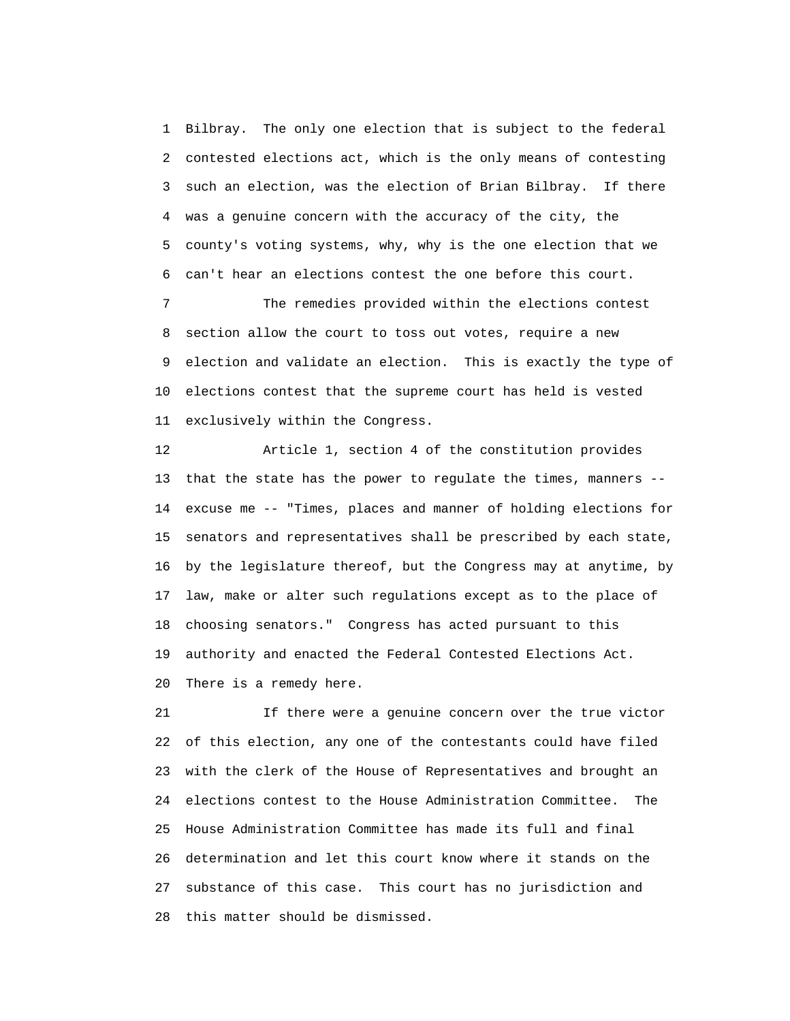1 Bilbray. The only one election that is subject to the federal 2 contested elections act, which is the only means of contesting 3 such an election, was the election of Brian Bilbray. If there 4 was a genuine concern with the accuracy of the city, the 5 county's voting systems, why, why is the one election that we 6 can't hear an elections contest the one before this court.

 7 The remedies provided within the elections contest 8 section allow the court to toss out votes, require a new 9 election and validate an election. This is exactly the type of 10 elections contest that the supreme court has held is vested 11 exclusively within the Congress.

 12 Article 1, section 4 of the constitution provides 13 that the state has the power to regulate the times, manners -- 14 excuse me -- "Times, places and manner of holding elections for 15 senators and representatives shall be prescribed by each state, 16 by the legislature thereof, but the Congress may at anytime, by 17 law, make or alter such regulations except as to the place of 18 choosing senators." Congress has acted pursuant to this 19 authority and enacted the Federal Contested Elections Act. 20 There is a remedy here.

21 If there were a genuine concern over the true victor 22 of this election, any one of the contestants could have filed 23 with the clerk of the House of Representatives and brought an 24 elections contest to the House Administration Committee. The 25 House Administration Committee has made its full and final 26 determination and let this court know where it stands on the 27 substance of this case. This court has no jurisdiction and 28 this matter should be dismissed.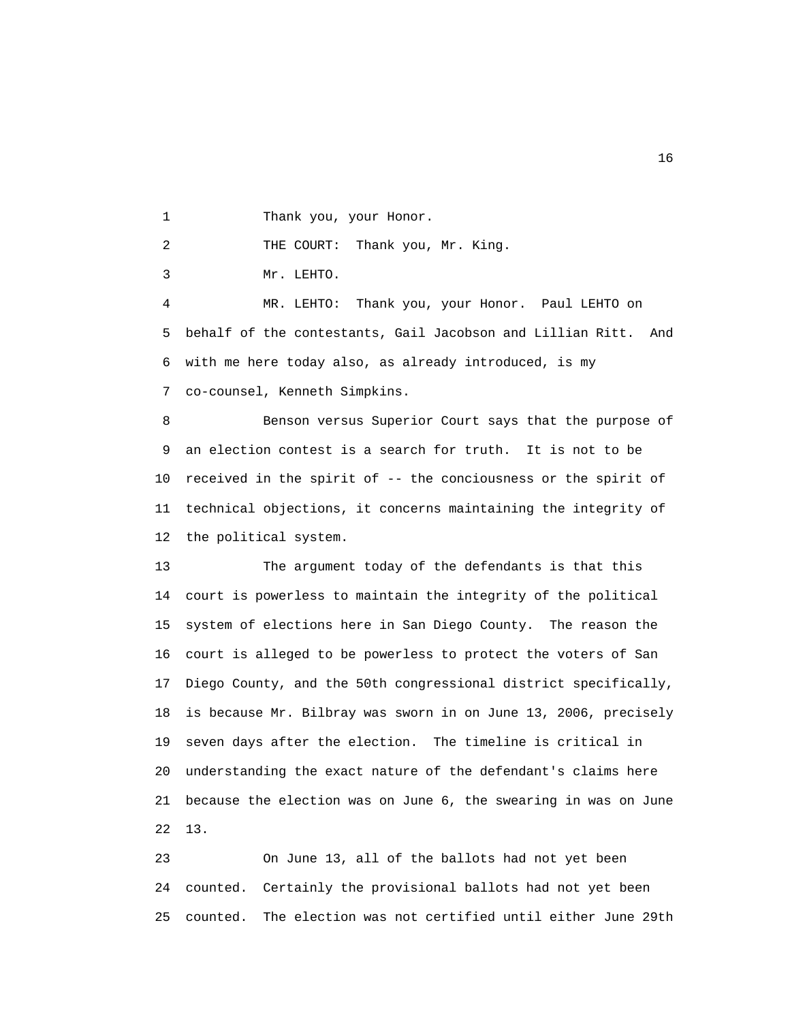1 Thank you, your Honor.

2 THE COURT: Thank you, Mr. King.

3 Mr. LEHTO.

 4 MR. LEHTO: Thank you, your Honor. Paul LEHTO on 5 behalf of the contestants, Gail Jacobson and Lillian Ritt. And 6 with me here today also, as already introduced, is my 7 co-counsel, Kenneth Simpkins.

 8 Benson versus Superior Court says that the purpose of 9 an election contest is a search for truth. It is not to be 10 received in the spirit of -- the conciousness or the spirit of 11 technical objections, it concerns maintaining the integrity of 12 the political system.

 13 The argument today of the defendants is that this 14 court is powerless to maintain the integrity of the political 15 system of elections here in San Diego County. The reason the 16 court is alleged to be powerless to protect the voters of San 17 Diego County, and the 50th congressional district specifically, 18 is because Mr. Bilbray was sworn in on June 13, 2006, precisely 19 seven days after the election. The timeline is critical in 20 understanding the exact nature of the defendant's claims here 21 because the election was on June 6, the swearing in was on June 22 13.

 23 On June 13, all of the ballots had not yet been 24 counted. Certainly the provisional ballots had not yet been 25 counted. The election was not certified until either June 29th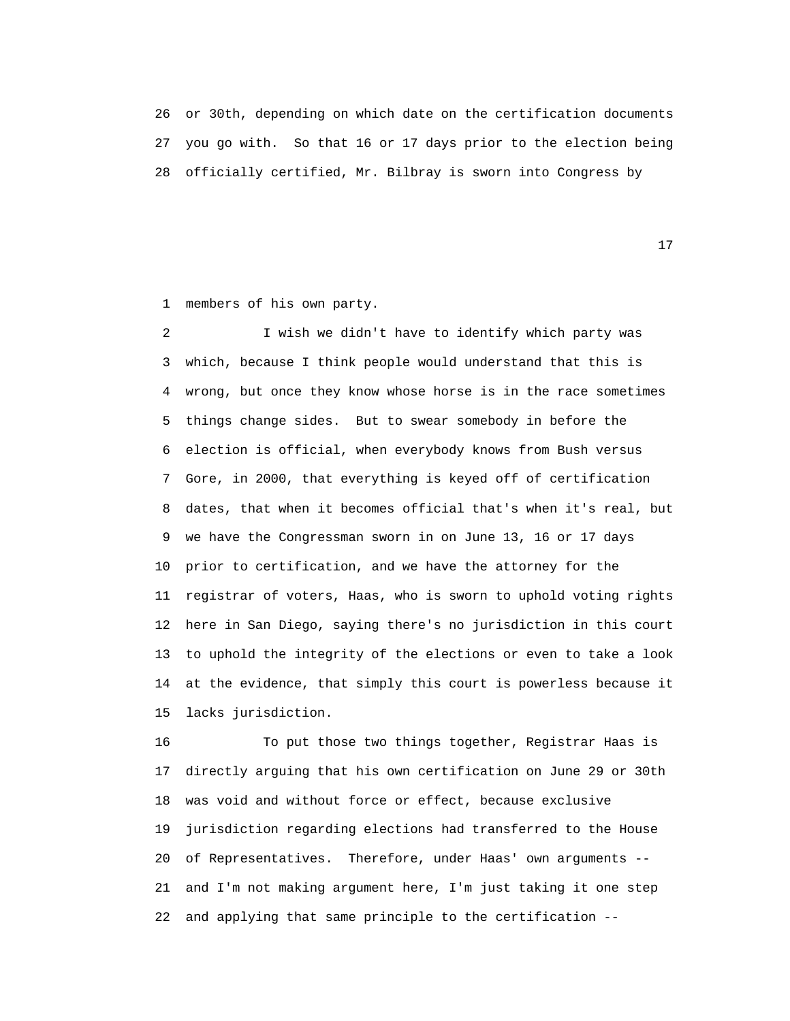26 or 30th, depending on which date on the certification documents 27 you go with. So that 16 or 17 days prior to the election being 28 officially certified, Mr. Bilbray is sworn into Congress by

17

1 members of his own party.

 2 I wish we didn't have to identify which party was 3 which, because I think people would understand that this is 4 wrong, but once they know whose horse is in the race sometimes 5 things change sides. But to swear somebody in before the 6 election is official, when everybody knows from Bush versus 7 Gore, in 2000, that everything is keyed off of certification 8 dates, that when it becomes official that's when it's real, but 9 we have the Congressman sworn in on June 13, 16 or 17 days 10 prior to certification, and we have the attorney for the 11 registrar of voters, Haas, who is sworn to uphold voting rights 12 here in San Diego, saying there's no jurisdiction in this court 13 to uphold the integrity of the elections or even to take a look 14 at the evidence, that simply this court is powerless because it 15 lacks jurisdiction.

 16 To put those two things together, Registrar Haas is 17 directly arguing that his own certification on June 29 or 30th 18 was void and without force or effect, because exclusive 19 jurisdiction regarding elections had transferred to the House 20 of Representatives. Therefore, under Haas' own arguments -- 21 and I'm not making argument here, I'm just taking it one step 22 and applying that same principle to the certification --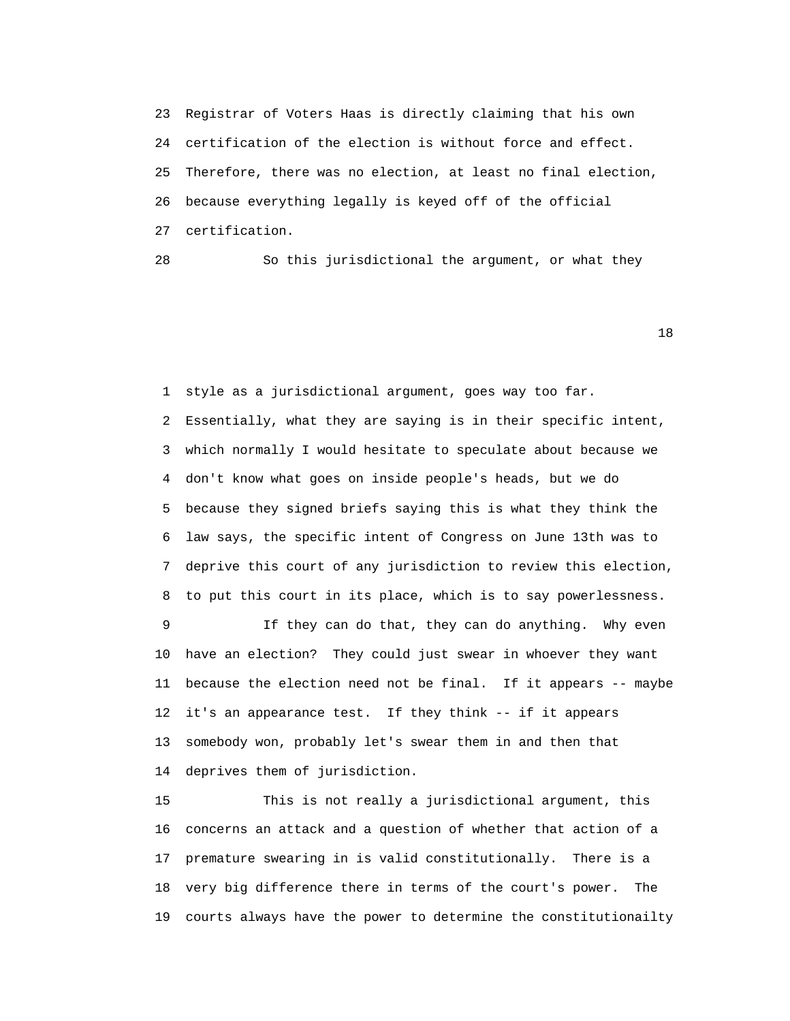23 Registrar of Voters Haas is directly claiming that his own 24 certification of the election is without force and effect. 25 Therefore, there was no election, at least no final election, 26 because everything legally is keyed off of the official 27 certification.

28 So this jurisdictional the argument, or what they

18

 1 style as a jurisdictional argument, goes way too far. 2 Essentially, what they are saying is in their specific intent, 3 which normally I would hesitate to speculate about because we 4 don't know what goes on inside people's heads, but we do 5 because they signed briefs saying this is what they think the 6 law says, the specific intent of Congress on June 13th was to 7 deprive this court of any jurisdiction to review this election, 8 to put this court in its place, which is to say powerlessness. 9 If they can do that, they can do anything. Why even

 10 have an election? They could just swear in whoever they want 11 because the election need not be final. If it appears -- maybe 12 it's an appearance test. If they think -- if it appears 13 somebody won, probably let's swear them in and then that 14 deprives them of jurisdiction.

 15 This is not really a jurisdictional argument, this 16 concerns an attack and a question of whether that action of a 17 premature swearing in is valid constitutionally. There is a 18 very big difference there in terms of the court's power. The 19 courts always have the power to determine the constitutionailty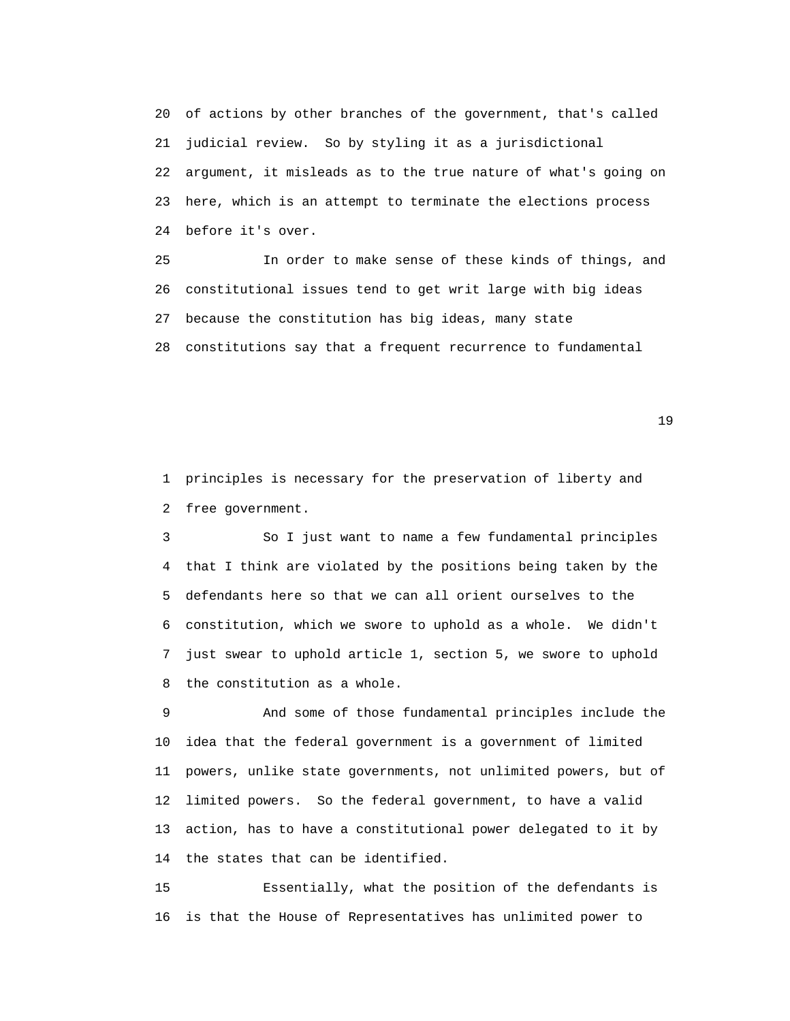20 of actions by other branches of the government, that's called 21 judicial review. So by styling it as a jurisdictional 22 argument, it misleads as to the true nature of what's going on 23 here, which is an attempt to terminate the elections process 24 before it's over.

 25 In order to make sense of these kinds of things, and 26 constitutional issues tend to get writ large with big ideas 27 because the constitution has big ideas, many state 28 constitutions say that a frequent recurrence to fundamental

19

 1 principles is necessary for the preservation of liberty and 2 free government.

 3 So I just want to name a few fundamental principles 4 that I think are violated by the positions being taken by the 5 defendants here so that we can all orient ourselves to the 6 constitution, which we swore to uphold as a whole. We didn't 7 just swear to uphold article 1, section 5, we swore to uphold 8 the constitution as a whole.

 9 And some of those fundamental principles include the 10 idea that the federal government is a government of limited 11 powers, unlike state governments, not unlimited powers, but of 12 limited powers. So the federal government, to have a valid 13 action, has to have a constitutional power delegated to it by 14 the states that can be identified.

 15 Essentially, what the position of the defendants is 16 is that the House of Representatives has unlimited power to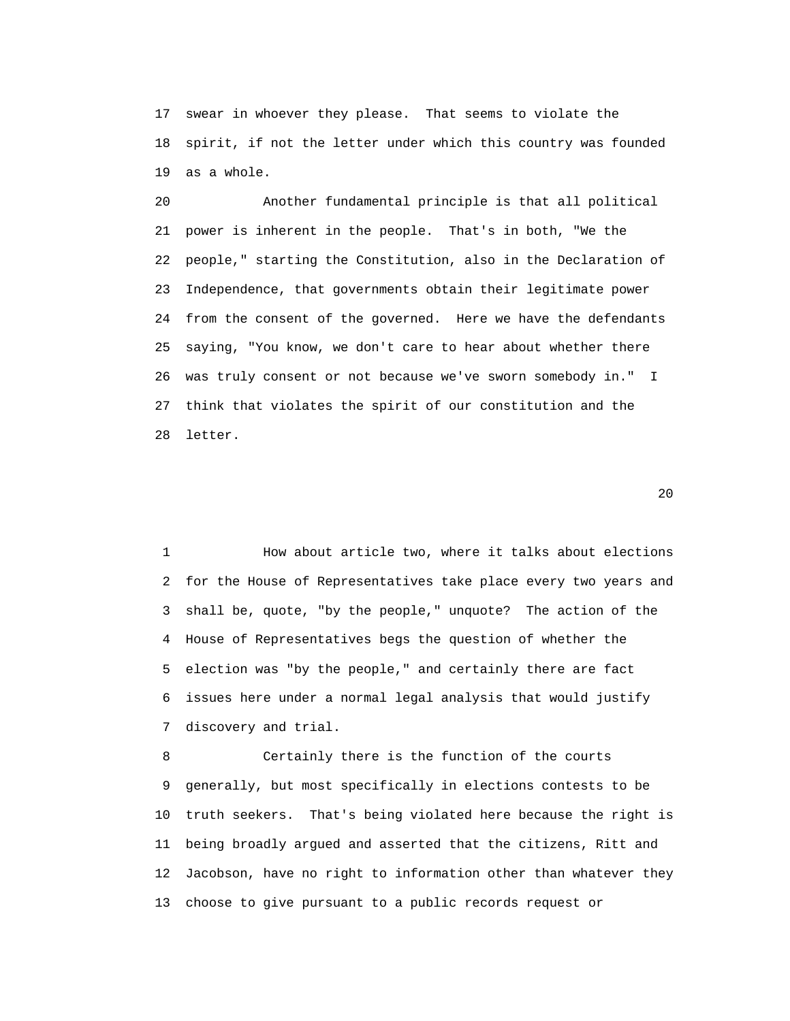17 swear in whoever they please. That seems to violate the 18 spirit, if not the letter under which this country was founded 19 as a whole.

 20 Another fundamental principle is that all political 21 power is inherent in the people. That's in both, "We the 22 people," starting the Constitution, also in the Declaration of 23 Independence, that governments obtain their legitimate power 24 from the consent of the governed. Here we have the defendants 25 saying, "You know, we don't care to hear about whether there 26 was truly consent or not because we've sworn somebody in." I 27 think that violates the spirit of our constitution and the 28 letter.

 $20$ 

 1 How about article two, where it talks about elections 2 for the House of Representatives take place every two years and 3 shall be, quote, "by the people," unquote? The action of the 4 House of Representatives begs the question of whether the 5 election was "by the people," and certainly there are fact 6 issues here under a normal legal analysis that would justify 7 discovery and trial.

 8 Certainly there is the function of the courts 9 generally, but most specifically in elections contests to be 10 truth seekers. That's being violated here because the right is 11 being broadly argued and asserted that the citizens, Ritt and 12 Jacobson, have no right to information other than whatever they 13 choose to give pursuant to a public records request or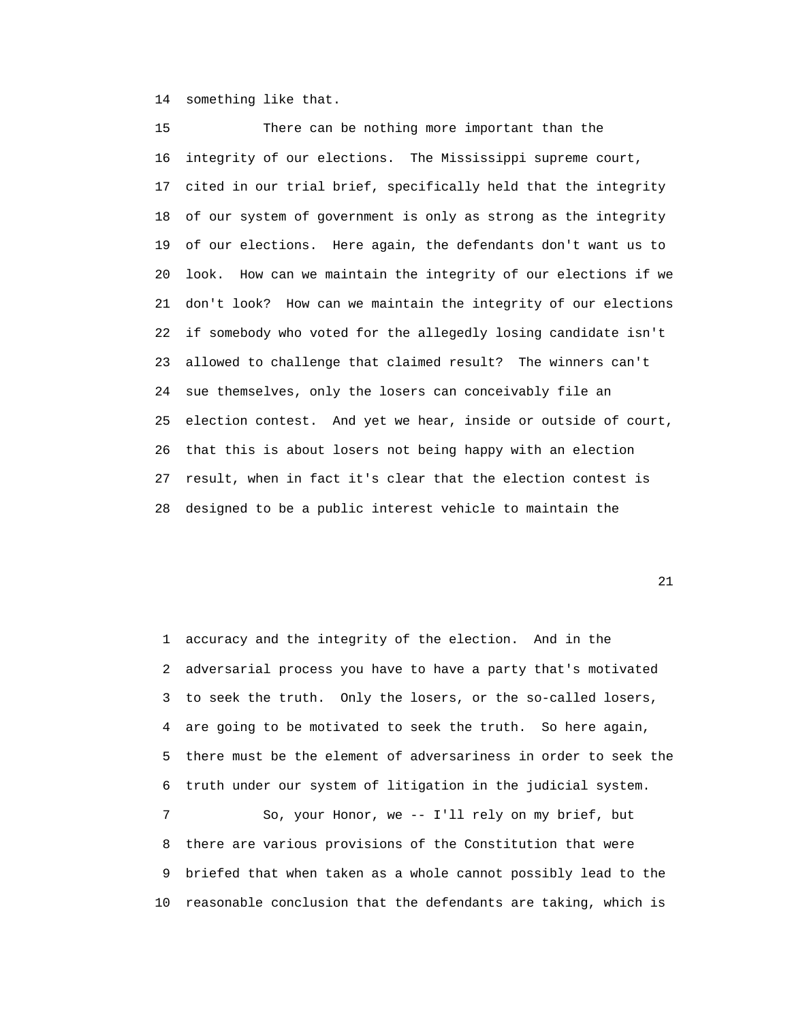14 something like that.

 15 There can be nothing more important than the 16 integrity of our elections. The Mississippi supreme court, 17 cited in our trial brief, specifically held that the integrity 18 of our system of government is only as strong as the integrity 19 of our elections. Here again, the defendants don't want us to 20 look. How can we maintain the integrity of our elections if we 21 don't look? How can we maintain the integrity of our elections 22 if somebody who voted for the allegedly losing candidate isn't 23 allowed to challenge that claimed result? The winners can't 24 sue themselves, only the losers can conceivably file an 25 election contest. And yet we hear, inside or outside of court, 26 that this is about losers not being happy with an election 27 result, when in fact it's clear that the election contest is 28 designed to be a public interest vehicle to maintain the

21

 1 accuracy and the integrity of the election. And in the 2 adversarial process you have to have a party that's motivated 3 to seek the truth. Only the losers, or the so-called losers, 4 are going to be motivated to seek the truth. So here again, 5 there must be the element of adversariness in order to seek the 6 truth under our system of litigation in the judicial system. 7 So, your Honor, we -- I'll rely on my brief, but 8 there are various provisions of the Constitution that were 9 briefed that when taken as a whole cannot possibly lead to the

10 reasonable conclusion that the defendants are taking, which is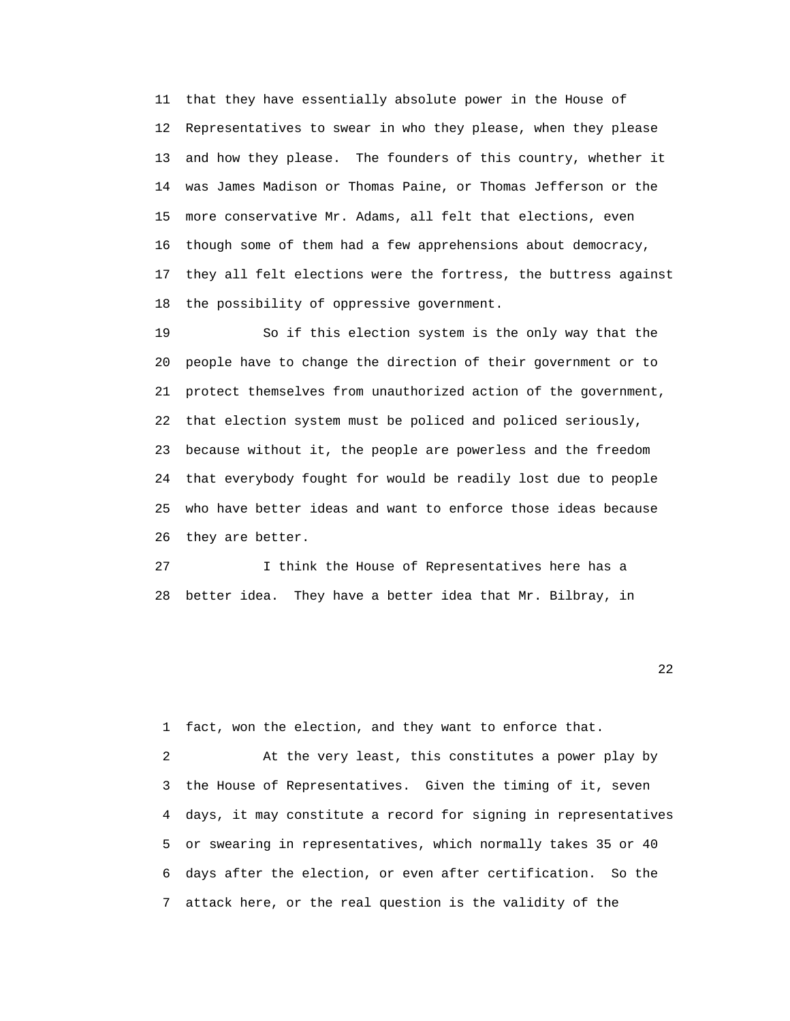11 that they have essentially absolute power in the House of 12 Representatives to swear in who they please, when they please 13 and how they please. The founders of this country, whether it 14 was James Madison or Thomas Paine, or Thomas Jefferson or the 15 more conservative Mr. Adams, all felt that elections, even 16 though some of them had a few apprehensions about democracy, 17 they all felt elections were the fortress, the buttress against 18 the possibility of oppressive government.

 19 So if this election system is the only way that the 20 people have to change the direction of their government or to 21 protect themselves from unauthorized action of the government, 22 that election system must be policed and policed seriously, 23 because without it, the people are powerless and the freedom 24 that everybody fought for would be readily lost due to people 25 who have better ideas and want to enforce those ideas because 26 they are better.

 27 I think the House of Representatives here has a 28 better idea. They have a better idea that Mr. Bilbray, in

22 and 22 and 23 and 23 and 23 and 23 and 23 and 23 and 23 and 23 and 23 and 23 and 23 and 23 and 23 and 24 and 25 and 26 and 26 and 26 and 26 and 26 and 26 and 26 and 26 and 26 and 26 and 26 and 26 and 26 and 26 and 26 an

1 fact, won the election, and they want to enforce that.

 2 At the very least, this constitutes a power play by 3 the House of Representatives. Given the timing of it, seven 4 days, it may constitute a record for signing in representatives 5 or swearing in representatives, which normally takes 35 or 40 6 days after the election, or even after certification. So the 7 attack here, or the real question is the validity of the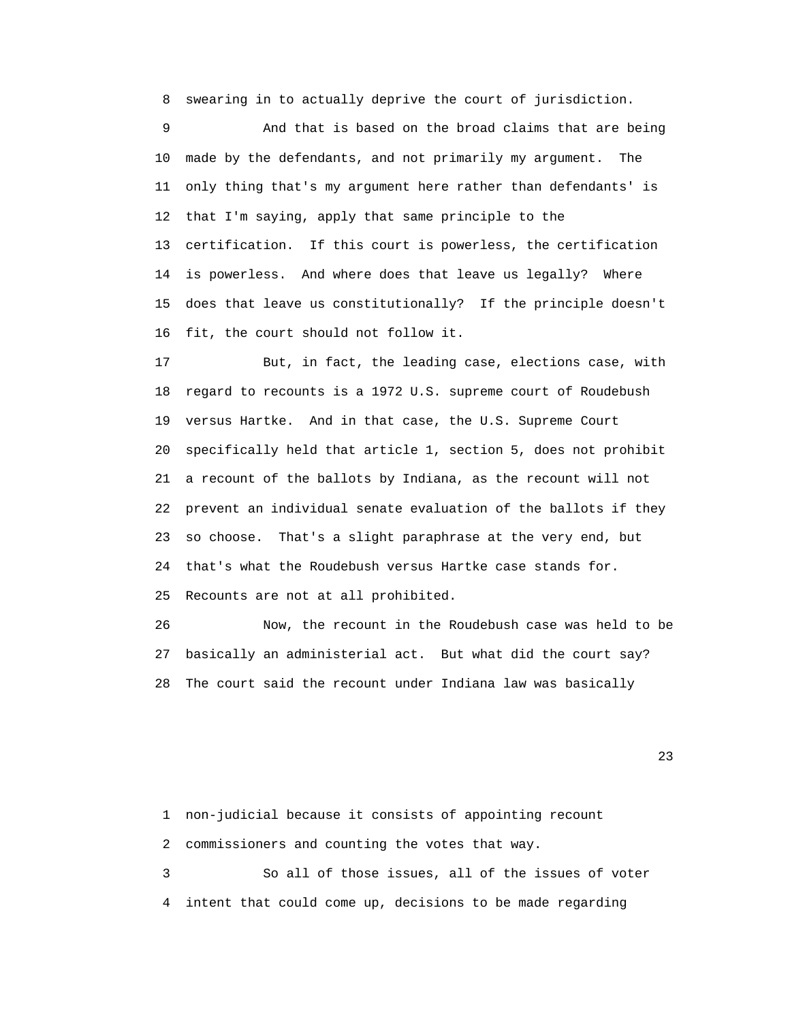8 swearing in to actually deprive the court of jurisdiction.

 9 And that is based on the broad claims that are being 10 made by the defendants, and not primarily my argument. The 11 only thing that's my argument here rather than defendants' is 12 that I'm saying, apply that same principle to the 13 certification. If this court is powerless, the certification 14 is powerless. And where does that leave us legally? Where 15 does that leave us constitutionally? If the principle doesn't 16 fit, the court should not follow it.

 17 But, in fact, the leading case, elections case, with 18 regard to recounts is a 1972 U.S. supreme court of Roudebush 19 versus Hartke. And in that case, the U.S. Supreme Court 20 specifically held that article 1, section 5, does not prohibit 21 a recount of the ballots by Indiana, as the recount will not 22 prevent an individual senate evaluation of the ballots if they 23 so choose. That's a slight paraphrase at the very end, but 24 that's what the Roudebush versus Hartke case stands for. 25 Recounts are not at all prohibited.

 26 Now, the recount in the Roudebush case was held to be 27 basically an administerial act. But what did the court say? 28 The court said the recount under Indiana law was basically

23

 1 non-judicial because it consists of appointing recount 2 commissioners and counting the votes that way. 3 So all of those issues, all of the issues of voter 4 intent that could come up, decisions to be made regarding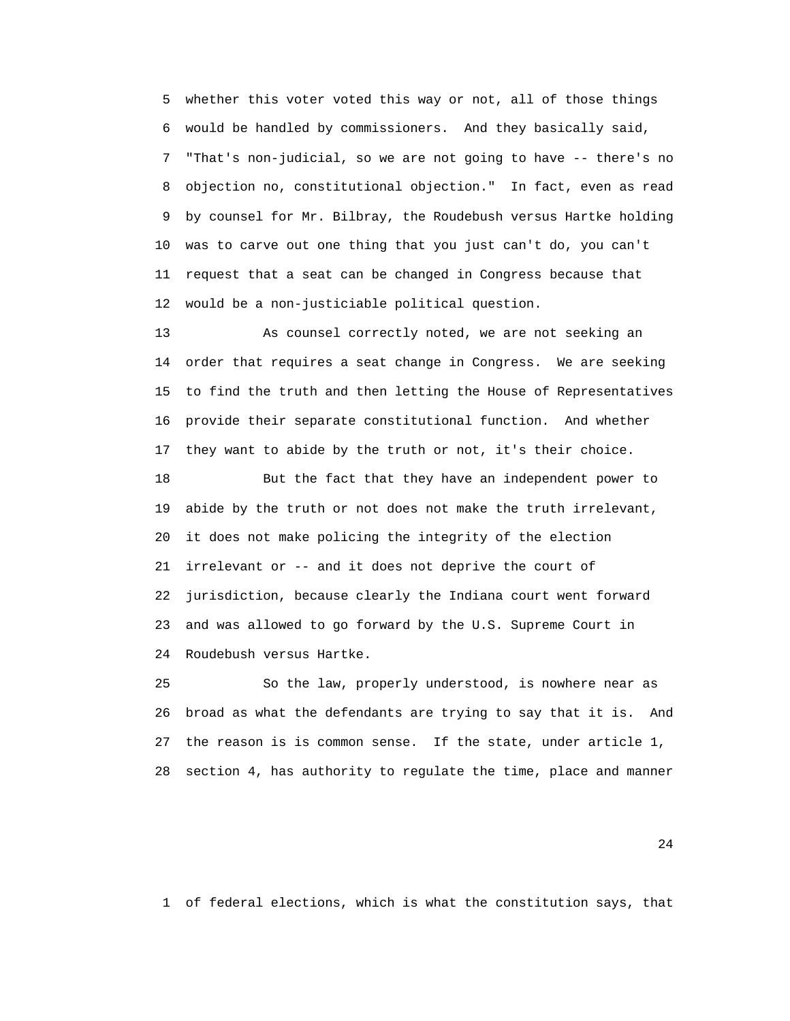5 whether this voter voted this way or not, all of those things 6 would be handled by commissioners. And they basically said, 7 "That's non-judicial, so we are not going to have -- there's no 8 objection no, constitutional objection." In fact, even as read 9 by counsel for Mr. Bilbray, the Roudebush versus Hartke holding 10 was to carve out one thing that you just can't do, you can't 11 request that a seat can be changed in Congress because that 12 would be a non-justiciable political question.

 13 As counsel correctly noted, we are not seeking an 14 order that requires a seat change in Congress. We are seeking 15 to find the truth and then letting the House of Representatives 16 provide their separate constitutional function. And whether 17 they want to abide by the truth or not, it's their choice.

 18 But the fact that they have an independent power to 19 abide by the truth or not does not make the truth irrelevant, 20 it does not make policing the integrity of the election 21 irrelevant or -- and it does not deprive the court of 22 jurisdiction, because clearly the Indiana court went forward 23 and was allowed to go forward by the U.S. Supreme Court in 24 Roudebush versus Hartke.

 25 So the law, properly understood, is nowhere near as 26 broad as what the defendants are trying to say that it is. And 27 the reason is is common sense. If the state, under article 1, 28 section 4, has authority to regulate the time, place and manner

24

1 of federal elections, which is what the constitution says, that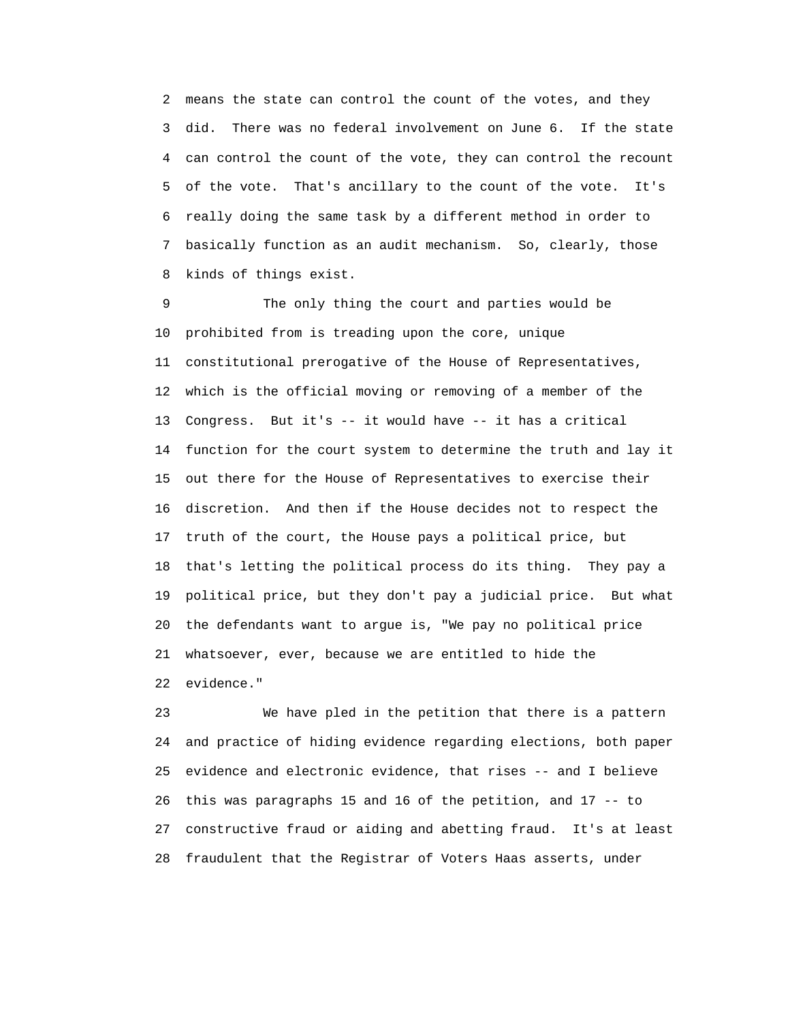2 means the state can control the count of the votes, and they 3 did. There was no federal involvement on June 6. If the state 4 can control the count of the vote, they can control the recount 5 of the vote. That's ancillary to the count of the vote. It's 6 really doing the same task by a different method in order to 7 basically function as an audit mechanism. So, clearly, those 8 kinds of things exist.

 9 The only thing the court and parties would be 10 prohibited from is treading upon the core, unique 11 constitutional prerogative of the House of Representatives, 12 which is the official moving or removing of a member of the 13 Congress. But it's -- it would have -- it has a critical 14 function for the court system to determine the truth and lay it 15 out there for the House of Representatives to exercise their 16 discretion. And then if the House decides not to respect the 17 truth of the court, the House pays a political price, but 18 that's letting the political process do its thing. They pay a 19 political price, but they don't pay a judicial price. But what 20 the defendants want to argue is, "We pay no political price 21 whatsoever, ever, because we are entitled to hide the 22 evidence."

 23 We have pled in the petition that there is a pattern 24 and practice of hiding evidence regarding elections, both paper 25 evidence and electronic evidence, that rises -- and I believe 26 this was paragraphs 15 and 16 of the petition, and 17 -- to 27 constructive fraud or aiding and abetting fraud. It's at least 28 fraudulent that the Registrar of Voters Haas asserts, under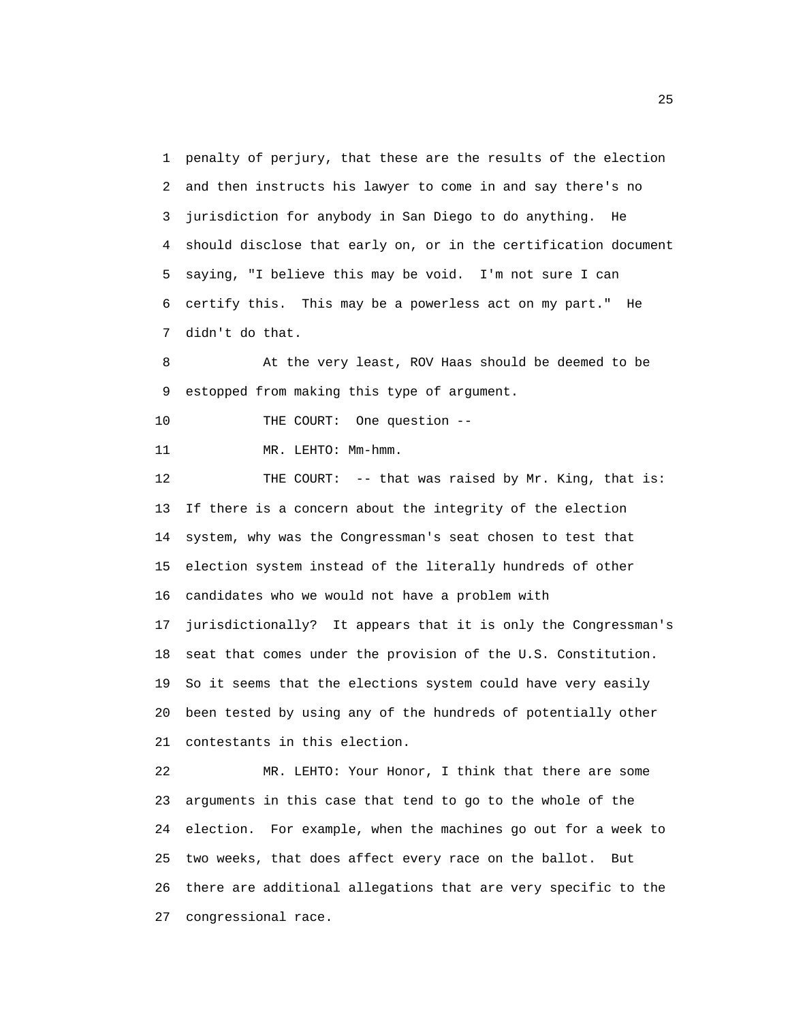1 penalty of perjury, that these are the results of the election 2 and then instructs his lawyer to come in and say there's no 3 jurisdiction for anybody in San Diego to do anything. He 4 should disclose that early on, or in the certification document 5 saying, "I believe this may be void. I'm not sure I can 6 certify this. This may be a powerless act on my part." He 7 didn't do that.

 8 At the very least, ROV Haas should be deemed to be 9 estopped from making this type of argument.

10 THE COURT: One question --

11 MR. LEHTO: Mm-hmm.

 12 THE COURT: -- that was raised by Mr. King, that is: 13 If there is a concern about the integrity of the election 14 system, why was the Congressman's seat chosen to test that 15 election system instead of the literally hundreds of other 16 candidates who we would not have a problem with 17 jurisdictionally? It appears that it is only the Congressman's 18 seat that comes under the provision of the U.S. Constitution. 19 So it seems that the elections system could have very easily 20 been tested by using any of the hundreds of potentially other 21 contestants in this election.

 22 MR. LEHTO: Your Honor, I think that there are some 23 arguments in this case that tend to go to the whole of the 24 election. For example, when the machines go out for a week to 25 two weeks, that does affect every race on the ballot. But 26 there are additional allegations that are very specific to the 27 congressional race.

<u>25 and 25</u>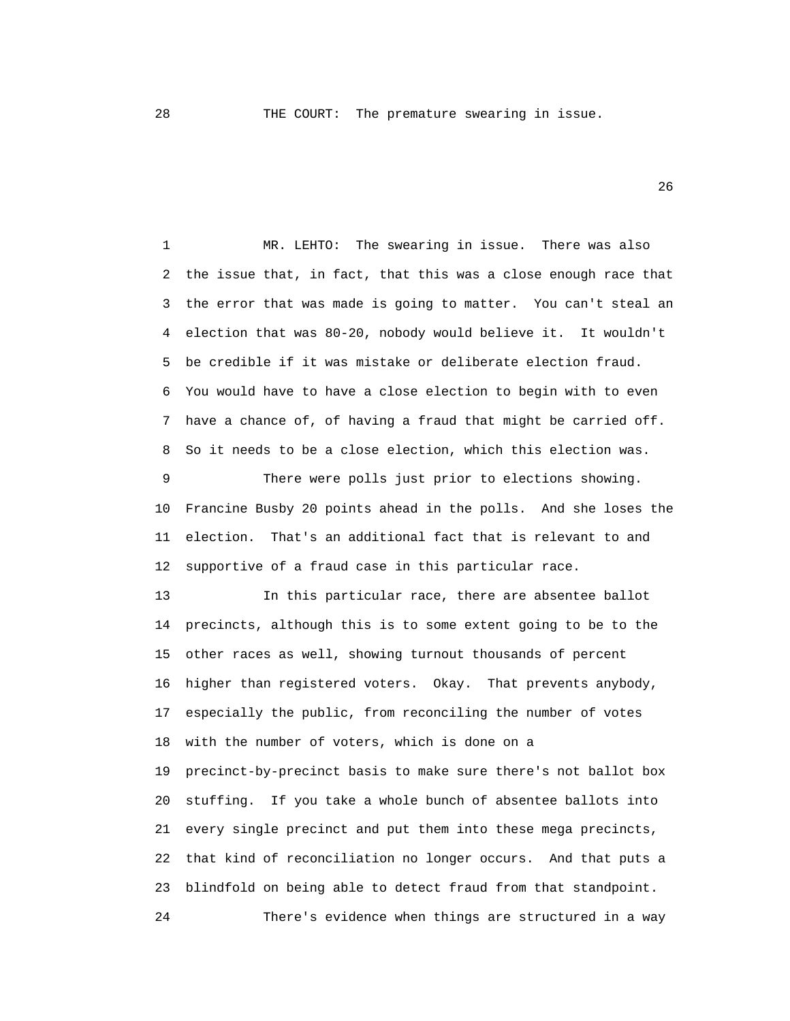28 THE COURT: The premature swearing in issue.

 $26$ 

 1 MR. LEHTO: The swearing in issue. There was also 2 the issue that, in fact, that this was a close enough race that 3 the error that was made is going to matter. You can't steal an 4 election that was 80-20, nobody would believe it. It wouldn't 5 be credible if it was mistake or deliberate election fraud. 6 You would have to have a close election to begin with to even 7 have a chance of, of having a fraud that might be carried off. 8 So it needs to be a close election, which this election was.

 9 There were polls just prior to elections showing. 10 Francine Busby 20 points ahead in the polls. And she loses the 11 election. That's an additional fact that is relevant to and 12 supportive of a fraud case in this particular race.

 13 In this particular race, there are absentee ballot 14 precincts, although this is to some extent going to be to the 15 other races as well, showing turnout thousands of percent 16 higher than registered voters. Okay. That prevents anybody, 17 especially the public, from reconciling the number of votes 18 with the number of voters, which is done on a 19 precinct-by-precinct basis to make sure there's not ballot box 20 stuffing. If you take a whole bunch of absentee ballots into 21 every single precinct and put them into these mega precincts, 22 that kind of reconciliation no longer occurs. And that puts a 23 blindfold on being able to detect fraud from that standpoint. 24 There's evidence when things are structured in a way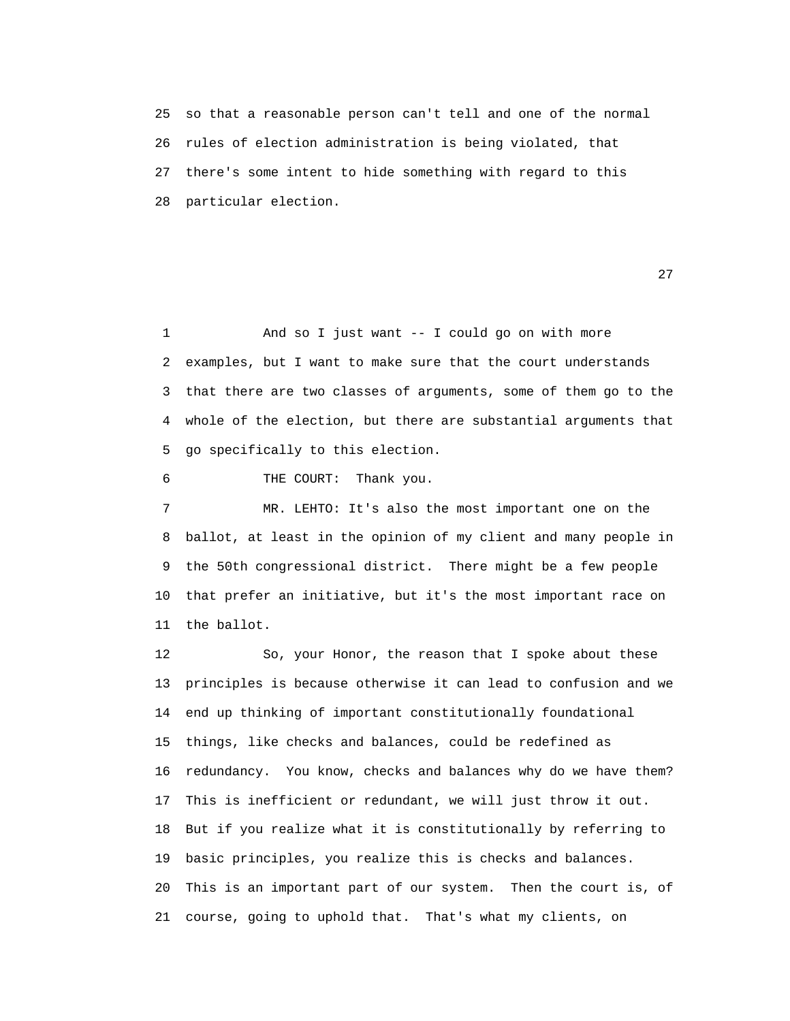25 so that a reasonable person can't tell and one of the normal 26 rules of election administration is being violated, that 27 there's some intent to hide something with regard to this 28 particular election.

27 and 27 and 27 and 27 and 27 and 27 and 27 and 27 and 27 and 27 and 27 and 27 and 27 and 27 and 27

 1 And so I just want -- I could go on with more 2 examples, but I want to make sure that the court understands 3 that there are two classes of arguments, some of them go to the 4 whole of the election, but there are substantial arguments that 5 go specifically to this election.

6 THE COURT: Thank you.

 7 MR. LEHTO: It's also the most important one on the 8 ballot, at least in the opinion of my client and many people in 9 the 50th congressional district. There might be a few people 10 that prefer an initiative, but it's the most important race on 11 the ballot.

 12 So, your Honor, the reason that I spoke about these 13 principles is because otherwise it can lead to confusion and we 14 end up thinking of important constitutionally foundational 15 things, like checks and balances, could be redefined as 16 redundancy. You know, checks and balances why do we have them? 17 This is inefficient or redundant, we will just throw it out. 18 But if you realize what it is constitutionally by referring to 19 basic principles, you realize this is checks and balances. 20 This is an important part of our system. Then the court is, of 21 course, going to uphold that. That's what my clients, on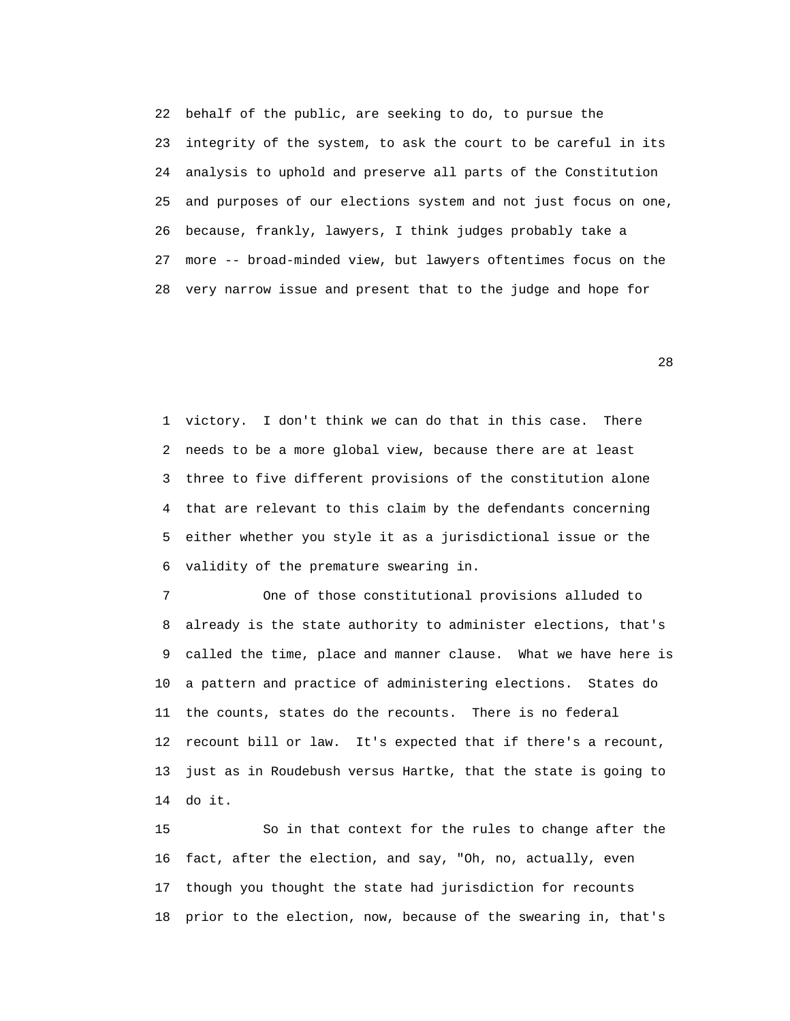22 behalf of the public, are seeking to do, to pursue the 23 integrity of the system, to ask the court to be careful in its 24 analysis to uphold and preserve all parts of the Constitution 25 and purposes of our elections system and not just focus on one, 26 because, frankly, lawyers, I think judges probably take a 27 more -- broad-minded view, but lawyers oftentimes focus on the 28 very narrow issue and present that to the judge and hope for

<u>28</u>

 1 victory. I don't think we can do that in this case. There 2 needs to be a more global view, because there are at least 3 three to five different provisions of the constitution alone 4 that are relevant to this claim by the defendants concerning 5 either whether you style it as a jurisdictional issue or the 6 validity of the premature swearing in.

 7 One of those constitutional provisions alluded to 8 already is the state authority to administer elections, that's 9 called the time, place and manner clause. What we have here is 10 a pattern and practice of administering elections. States do 11 the counts, states do the recounts. There is no federal 12 recount bill or law. It's expected that if there's a recount, 13 just as in Roudebush versus Hartke, that the state is going to 14 do it.

 15 So in that context for the rules to change after the 16 fact, after the election, and say, "Oh, no, actually, even 17 though you thought the state had jurisdiction for recounts 18 prior to the election, now, because of the swearing in, that's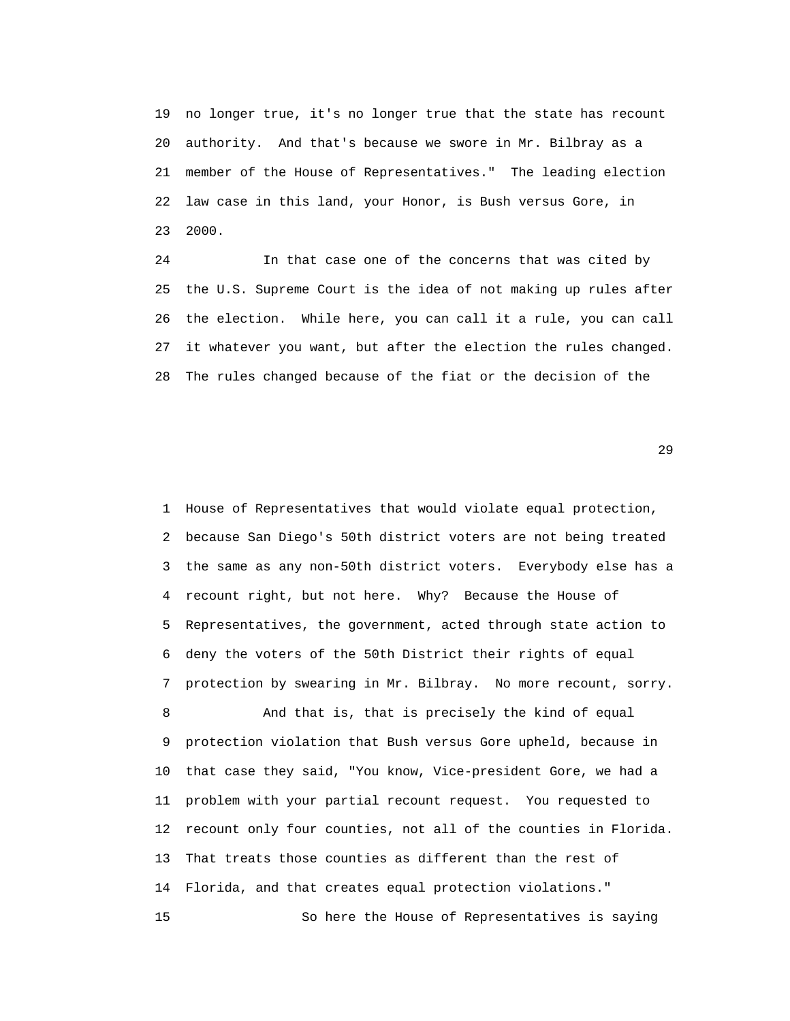19 no longer true, it's no longer true that the state has recount 20 authority. And that's because we swore in Mr. Bilbray as a 21 member of the House of Representatives." The leading election 22 law case in this land, your Honor, is Bush versus Gore, in 23 2000.

 24 In that case one of the concerns that was cited by 25 the U.S. Supreme Court is the idea of not making up rules after 26 the election. While here, you can call it a rule, you can call 27 it whatever you want, but after the election the rules changed. 28 The rules changed because of the fiat or the decision of the

 $29$ 

 1 House of Representatives that would violate equal protection, 2 because San Diego's 50th district voters are not being treated 3 the same as any non-50th district voters. Everybody else has a 4 recount right, but not here. Why? Because the House of 5 Representatives, the government, acted through state action to 6 deny the voters of the 50th District their rights of equal 7 protection by swearing in Mr. Bilbray. No more recount, sorry. 8 And that is, that is precisely the kind of equal

 9 protection violation that Bush versus Gore upheld, because in 10 that case they said, "You know, Vice-president Gore, we had a 11 problem with your partial recount request. You requested to 12 recount only four counties, not all of the counties in Florida. 13 That treats those counties as different than the rest of 14 Florida, and that creates equal protection violations." 15 So here the House of Representatives is saying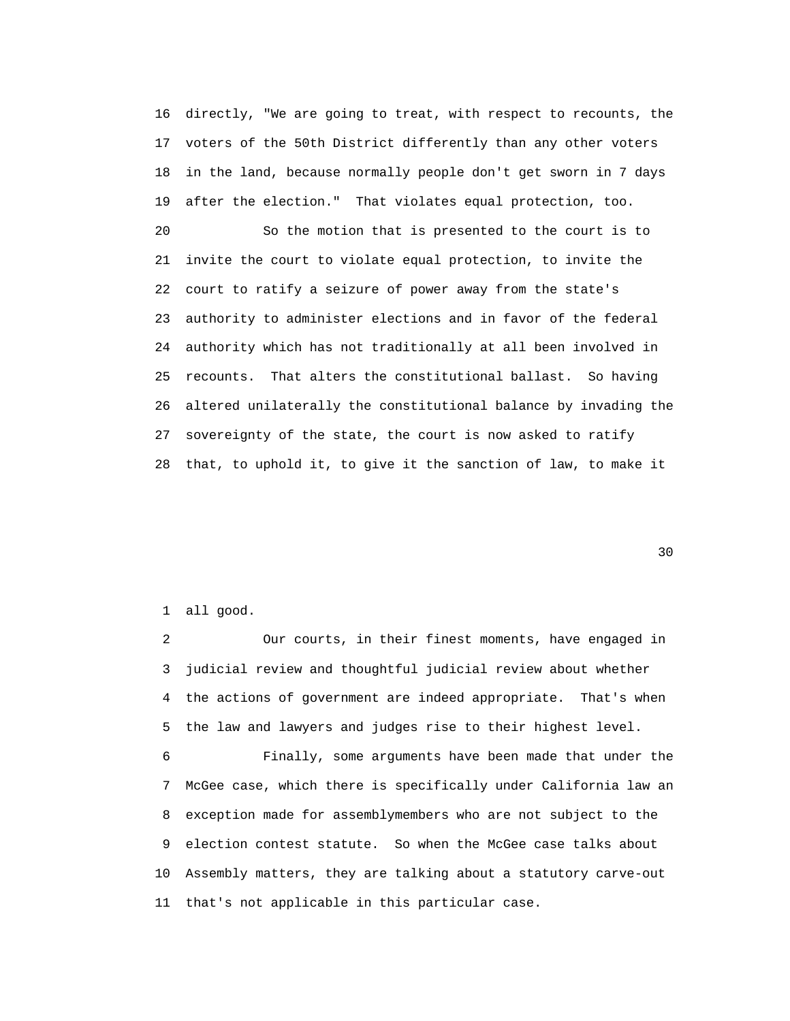16 directly, "We are going to treat, with respect to recounts, the 17 voters of the 50th District differently than any other voters 18 in the land, because normally people don't get sworn in 7 days 19 after the election." That violates equal protection, too.

 20 So the motion that is presented to the court is to 21 invite the court to violate equal protection, to invite the 22 court to ratify a seizure of power away from the state's 23 authority to administer elections and in favor of the federal 24 authority which has not traditionally at all been involved in 25 recounts. That alters the constitutional ballast. So having 26 altered unilaterally the constitutional balance by invading the 27 sovereignty of the state, the court is now asked to ratify 28 that, to uphold it, to give it the sanction of law, to make it

<u>30</u>

## 1 all good.

 2 Our courts, in their finest moments, have engaged in 3 judicial review and thoughtful judicial review about whether 4 the actions of government are indeed appropriate. That's when 5 the law and lawyers and judges rise to their highest level.

 6 Finally, some arguments have been made that under the 7 McGee case, which there is specifically under California law an 8 exception made for assemblymembers who are not subject to the 9 election contest statute. So when the McGee case talks about 10 Assembly matters, they are talking about a statutory carve-out 11 that's not applicable in this particular case.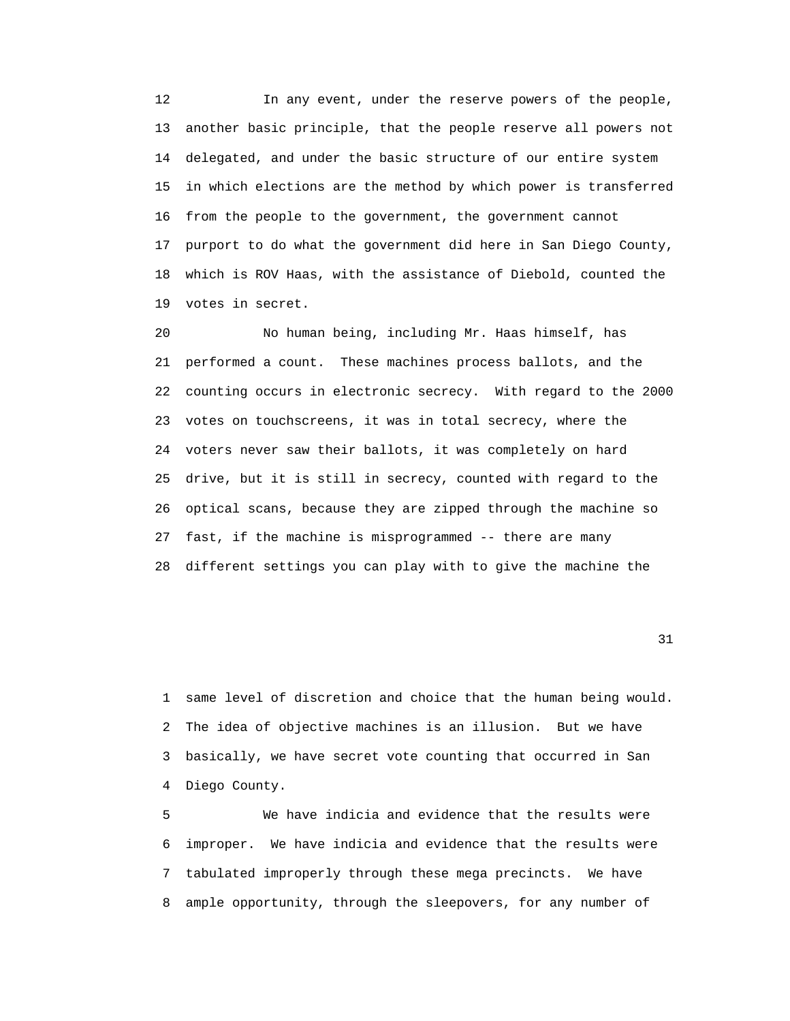12 In any event, under the reserve powers of the people, 13 another basic principle, that the people reserve all powers not 14 delegated, and under the basic structure of our entire system 15 in which elections are the method by which power is transferred 16 from the people to the government, the government cannot 17 purport to do what the government did here in San Diego County, 18 which is ROV Haas, with the assistance of Diebold, counted the 19 votes in secret.

 20 No human being, including Mr. Haas himself, has 21 performed a count. These machines process ballots, and the 22 counting occurs in electronic secrecy. With regard to the 2000 23 votes on touchscreens, it was in total secrecy, where the 24 voters never saw their ballots, it was completely on hard 25 drive, but it is still in secrecy, counted with regard to the 26 optical scans, because they are zipped through the machine so 27 fast, if the machine is misprogrammed -- there are many 28 different settings you can play with to give the machine the

31

 1 same level of discretion and choice that the human being would. 2 The idea of objective machines is an illusion. But we have 3 basically, we have secret vote counting that occurred in San 4 Diego County.

 5 We have indicia and evidence that the results were 6 improper. We have indicia and evidence that the results were 7 tabulated improperly through these mega precincts. We have 8 ample opportunity, through the sleepovers, for any number of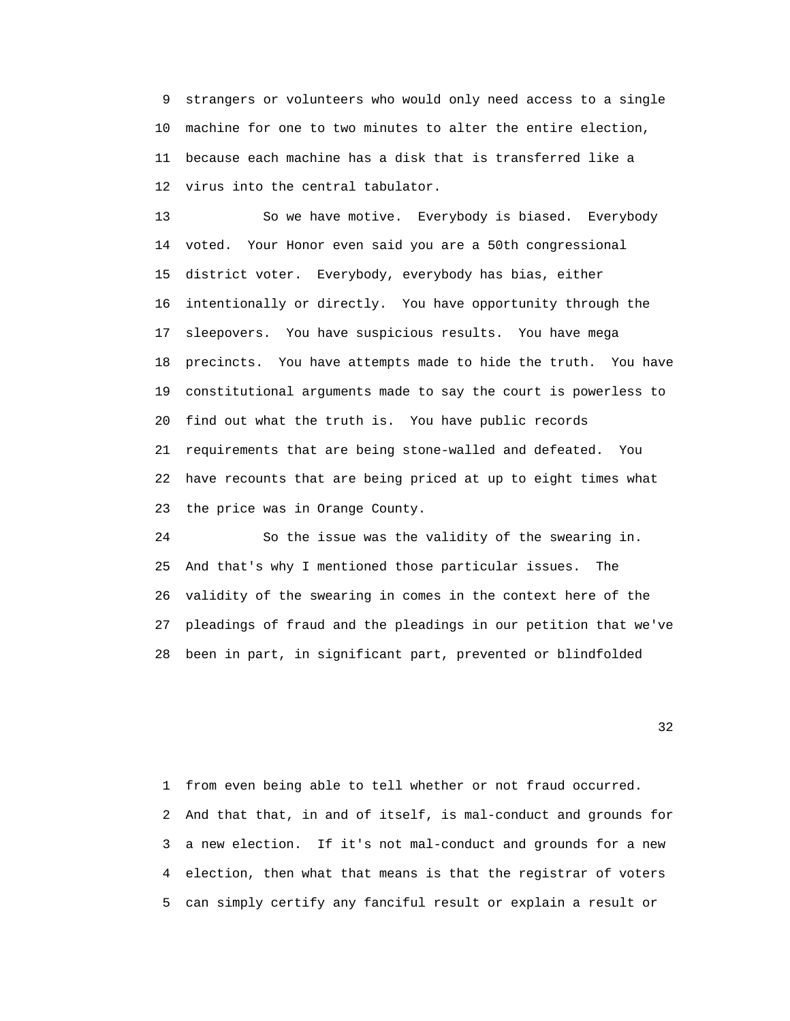9 strangers or volunteers who would only need access to a single 10 machine for one to two minutes to alter the entire election, 11 because each machine has a disk that is transferred like a 12 virus into the central tabulator.

 13 So we have motive. Everybody is biased. Everybody 14 voted. Your Honor even said you are a 50th congressional 15 district voter. Everybody, everybody has bias, either 16 intentionally or directly. You have opportunity through the 17 sleepovers. You have suspicious results. You have mega 18 precincts. You have attempts made to hide the truth. You have 19 constitutional arguments made to say the court is powerless to 20 find out what the truth is. You have public records 21 requirements that are being stone-walled and defeated. You 22 have recounts that are being priced at up to eight times what 23 the price was in Orange County.

 24 So the issue was the validity of the swearing in. 25 And that's why I mentioned those particular issues. The 26 validity of the swearing in comes in the context here of the 27 pleadings of fraud and the pleadings in our petition that we've 28 been in part, in significant part, prevented or blindfolded

 $32$ 

 1 from even being able to tell whether or not fraud occurred. 2 And that that, in and of itself, is mal-conduct and grounds for 3 a new election. If it's not mal-conduct and grounds for a new 4 election, then what that means is that the registrar of voters 5 can simply certify any fanciful result or explain a result or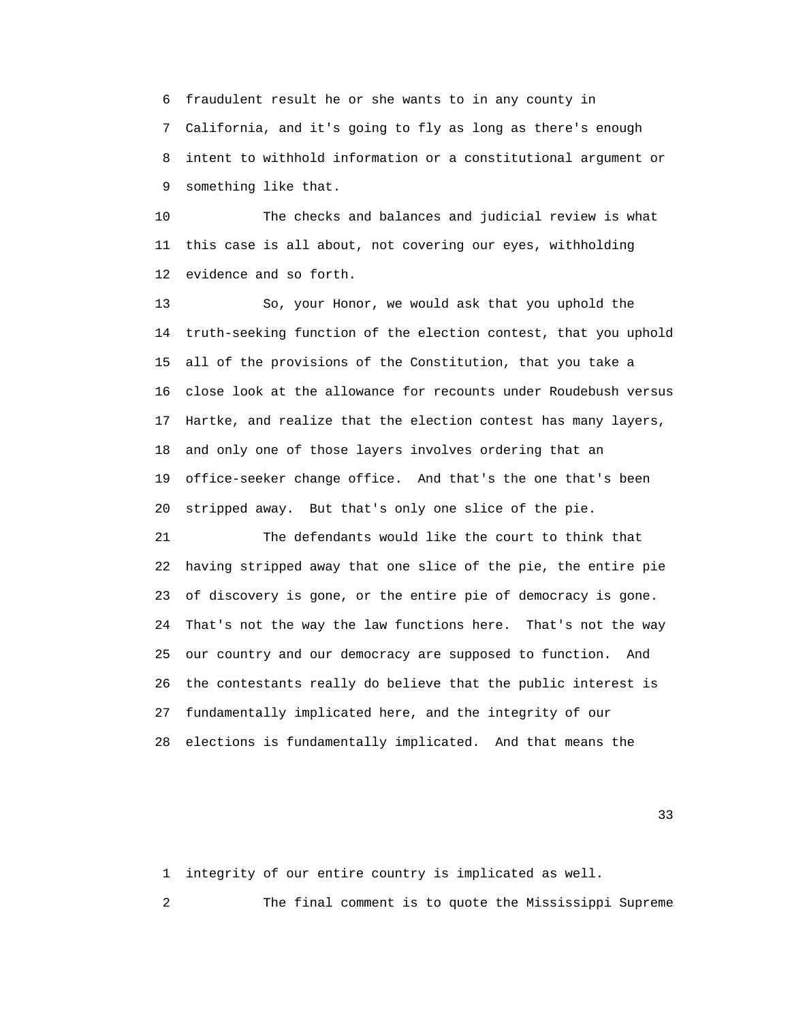6 fraudulent result he or she wants to in any county in 7 California, and it's going to fly as long as there's enough 8 intent to withhold information or a constitutional argument or 9 something like that.

 10 The checks and balances and judicial review is what 11 this case is all about, not covering our eyes, withholding 12 evidence and so forth.

 13 So, your Honor, we would ask that you uphold the 14 truth-seeking function of the election contest, that you uphold 15 all of the provisions of the Constitution, that you take a 16 close look at the allowance for recounts under Roudebush versus 17 Hartke, and realize that the election contest has many layers, 18 and only one of those layers involves ordering that an 19 office-seeker change office. And that's the one that's been 20 stripped away. But that's only one slice of the pie.

 21 The defendants would like the court to think that 22 having stripped away that one slice of the pie, the entire pie 23 of discovery is gone, or the entire pie of democracy is gone. 24 That's not the way the law functions here. That's not the way 25 our country and our democracy are supposed to function. And 26 the contestants really do believe that the public interest is 27 fundamentally implicated here, and the integrity of our 28 elections is fundamentally implicated. And that means the

 $33$ 

1 integrity of our entire country is implicated as well.

2 The final comment is to quote the Mississippi Supreme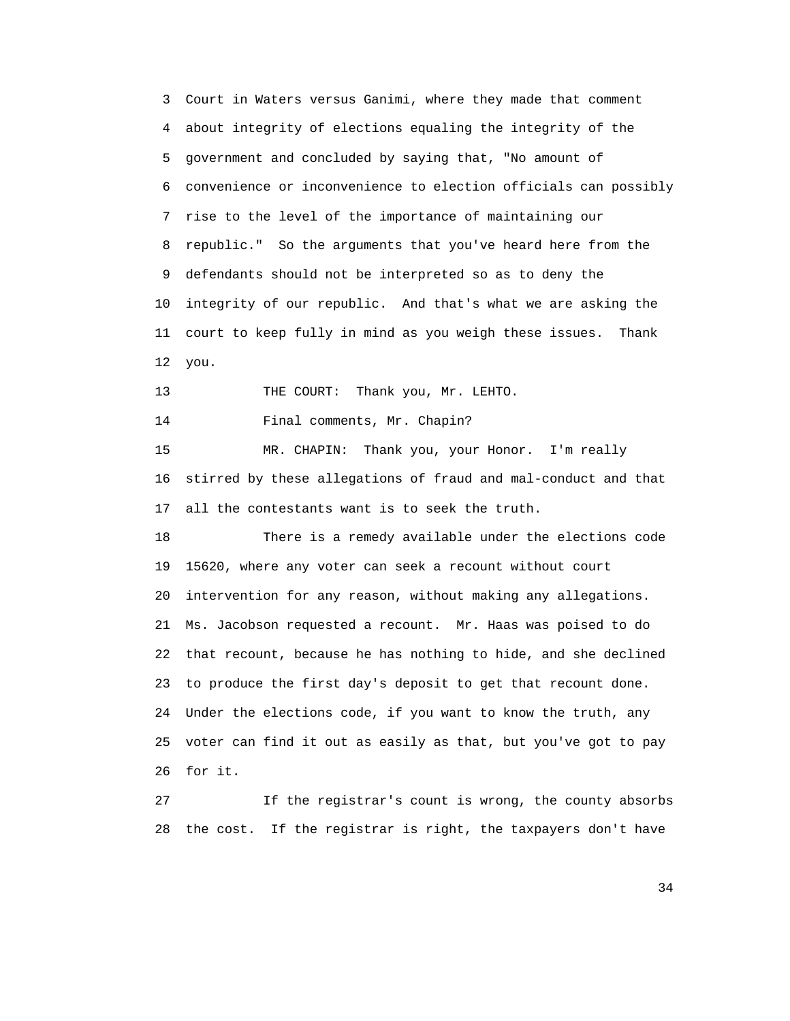3 Court in Waters versus Ganimi, where they made that comment 4 about integrity of elections equaling the integrity of the 5 government and concluded by saying that, "No amount of 6 convenience or inconvenience to election officials can possibly 7 rise to the level of the importance of maintaining our 8 republic." So the arguments that you've heard here from the 9 defendants should not be interpreted so as to deny the 10 integrity of our republic. And that's what we are asking the 11 court to keep fully in mind as you weigh these issues. Thank 12 you. 13 THE COURT: Thank you, Mr. LEHTO. 14 Final comments, Mr. Chapin? 15 MR. CHAPIN: Thank you, your Honor. I'm really 16 stirred by these allegations of fraud and mal-conduct and that 17 all the contestants want is to seek the truth. 18 There is a remedy available under the elections code 19 15620, where any voter can seek a recount without court 20 intervention for any reason, without making any allegations. 21 Ms. Jacobson requested a recount. Mr. Haas was poised to do 22 that recount, because he has nothing to hide, and she declined 23 to produce the first day's deposit to get that recount done. 24 Under the elections code, if you want to know the truth, any 25 voter can find it out as easily as that, but you've got to pay 26 for it. 27 If the registrar's count is wrong, the county absorbs

28 the cost. If the registrar is right, the taxpayers don't have

34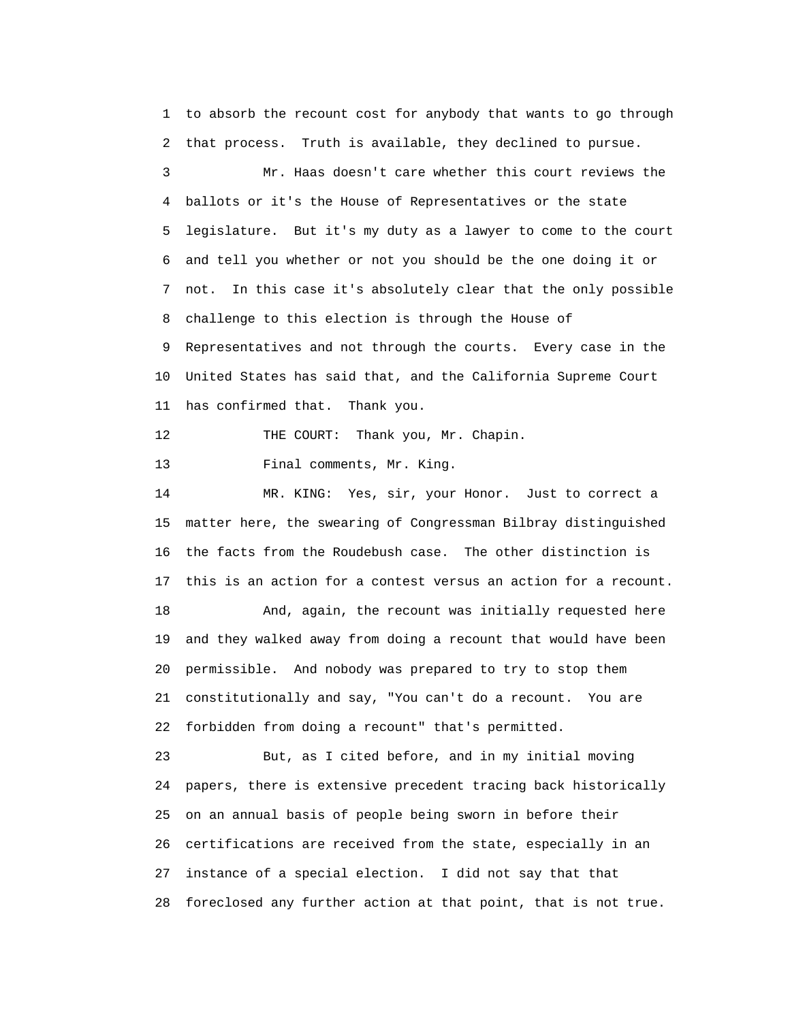1 to absorb the recount cost for anybody that wants to go through 2 that process. Truth is available, they declined to pursue. 3 Mr. Haas doesn't care whether this court reviews the 4 ballots or it's the House of Representatives or the state 5 legislature. But it's my duty as a lawyer to come to the court 6 and tell you whether or not you should be the one doing it or 7 not. In this case it's absolutely clear that the only possible 8 challenge to this election is through the House of 9 Representatives and not through the courts. Every case in the 10 United States has said that, and the California Supreme Court 11 has confirmed that. Thank you. 12 THE COURT: Thank you, Mr. Chapin. 13 Final comments, Mr. King. 14 MR. KING: Yes, sir, your Honor. Just to correct a 15 matter here, the swearing of Congressman Bilbray distinguished 16 the facts from the Roudebush case. The other distinction is 17 this is an action for a contest versus an action for a recount. 18 And, again, the recount was initially requested here 19 and they walked away from doing a recount that would have been 20 permissible. And nobody was prepared to try to stop them 21 constitutionally and say, "You can't do a recount. You are 22 forbidden from doing a recount" that's permitted. 23 But, as I cited before, and in my initial moving

 24 papers, there is extensive precedent tracing back historically 25 on an annual basis of people being sworn in before their 26 certifications are received from the state, especially in an 27 instance of a special election. I did not say that that 28 foreclosed any further action at that point, that is not true.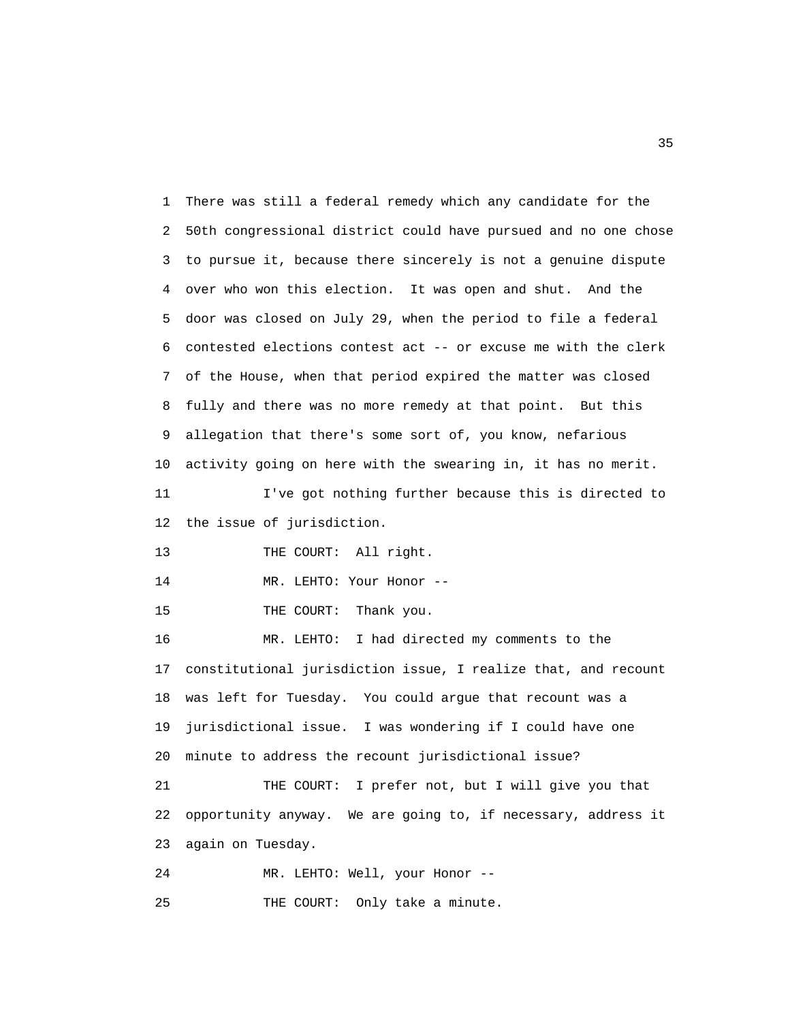1 There was still a federal remedy which any candidate for the 2 50th congressional district could have pursued and no one chose 3 to pursue it, because there sincerely is not a genuine dispute 4 over who won this election. It was open and shut. And the 5 door was closed on July 29, when the period to file a federal 6 contested elections contest act -- or excuse me with the clerk 7 of the House, when that period expired the matter was closed 8 fully and there was no more remedy at that point. But this 9 allegation that there's some sort of, you know, nefarious 10 activity going on here with the swearing in, it has no merit. 11 I've got nothing further because this is directed to 12 the issue of jurisdiction. 13 THE COURT: All right. 14 MR. LEHTO: Your Honor --15 THE COURT: Thank you. 16 MR. LEHTO: I had directed my comments to the 17 constitutional jurisdiction issue, I realize that, and recount 18 was left for Tuesday. You could argue that recount was a 19 jurisdictional issue. I was wondering if I could have one 20 minute to address the recount jurisdictional issue? 21 THE COURT: I prefer not, but I will give you that 22 opportunity anyway. We are going to, if necessary, address it 23 again on Tuesday.

 24 MR. LEHTO: Well, your Honor -- 25 THE COURT: Only take a minute.

 $35$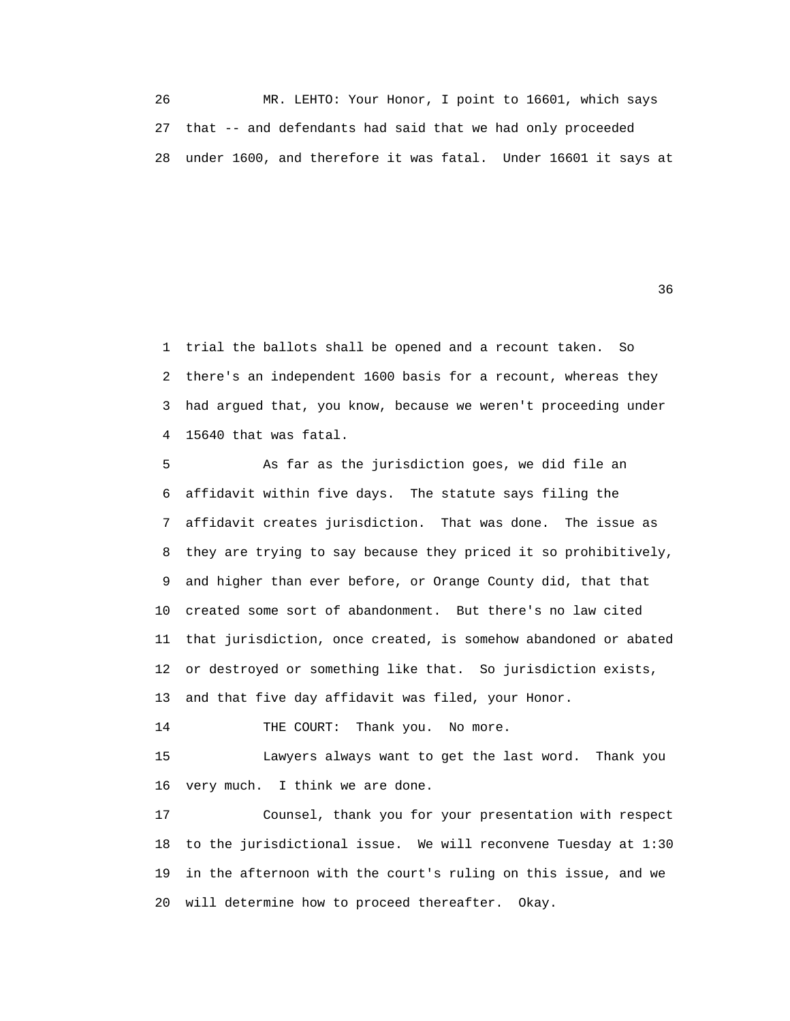26 MR. LEHTO: Your Honor, I point to 16601, which says 27 that -- and defendants had said that we had only proceeded 28 under 1600, and therefore it was fatal. Under 16601 it says at

 $36$ 

 1 trial the ballots shall be opened and a recount taken. So 2 there's an independent 1600 basis for a recount, whereas they 3 had argued that, you know, because we weren't proceeding under 4 15640 that was fatal.

 5 As far as the jurisdiction goes, we did file an 6 affidavit within five days. The statute says filing the 7 affidavit creates jurisdiction. That was done. The issue as 8 they are trying to say because they priced it so prohibitively, 9 and higher than ever before, or Orange County did, that that 10 created some sort of abandonment. But there's no law cited 11 that jurisdiction, once created, is somehow abandoned or abated 12 or destroyed or something like that. So jurisdiction exists, 13 and that five day affidavit was filed, your Honor.

14 THE COURT: Thank you. No more.

 15 Lawyers always want to get the last word. Thank you 16 very much. I think we are done.

 17 Counsel, thank you for your presentation with respect 18 to the jurisdictional issue. We will reconvene Tuesday at 1:30 19 in the afternoon with the court's ruling on this issue, and we 20 will determine how to proceed thereafter. Okay.